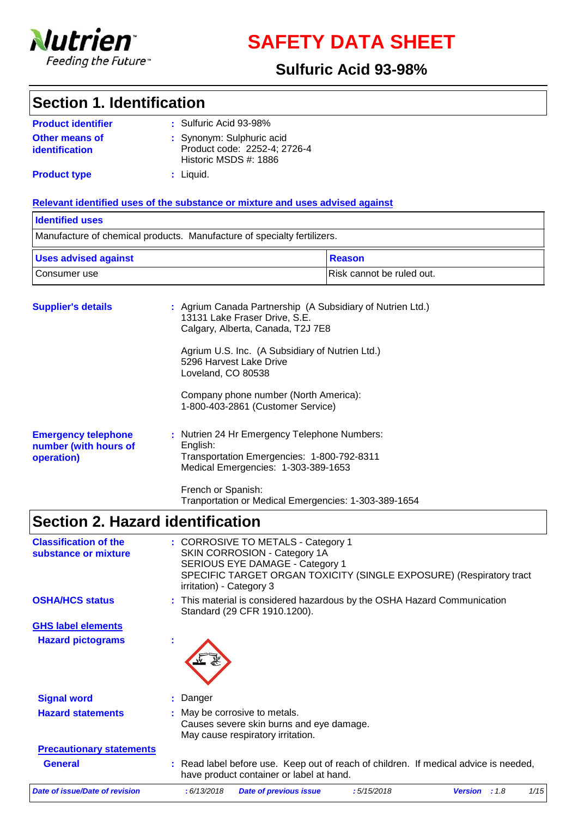

**SAFETY DATA SHEET**

### **Sulfuric Acid 93-98%**

### **Section 1. Identification**

| <b>Product identifier</b> | $:$ Sulfuric Acid 93-98%                              |
|---------------------------|-------------------------------------------------------|
| <b>Other means of</b>     | : Synonym: Sulphuric acid                             |
| <i>identification</i>     | Product code: 2252-4; 2726-4<br>Historic MSDS #: 1886 |
| <b>Product type</b>       | : Liquid.                                             |

#### **Relevant identified uses of the substance or mixture and uses advised against**

### Manufacture of chemical products. Manufacture of specialty fertilizers. **Identified uses** Consumer use **Risk cannot** be ruled out. Uses advised against **Reason**

| <b>Supplier's details</b>                                         | : Agrium Canada Partnership (A Subsidiary of Nutrien Ltd.)<br>13131 Lake Fraser Drive, S.E.<br>Calgary, Alberta, Canada, T2J 7E8                                                                                            |
|-------------------------------------------------------------------|-----------------------------------------------------------------------------------------------------------------------------------------------------------------------------------------------------------------------------|
|                                                                   | Agrium U.S. Inc. (A Subsidiary of Nutrien Ltd.)<br>5296 Harvest Lake Drive<br>Loveland, CO 80538                                                                                                                            |
|                                                                   | Company phone number (North America):<br>1-800-403-2861 (Customer Service)                                                                                                                                                  |
| <b>Emergency telephone</b><br>number (with hours of<br>operation) | : Nutrien 24 Hr Emergency Telephone Numbers:<br>English:<br>Transportation Emergencies: 1-800-792-8311<br>Medical Emergencies: 1-303-389-1653<br>French or Spanish:<br>Tranportation or Medical Emergencies: 1-303-389-1654 |

### **Section 2. Hazard identification**

| <b>Classification of the</b><br>substance or mixture | : CORROSIVE TO METALS - Category 1<br>SKIN CORROSION - Category 1A<br>SERIOUS EYE DAMAGE - Category 1<br>SPECIFIC TARGET ORGAN TOXICITY (SINGLE EXPOSURE) (Respiratory tract<br>irritation) - Category 3 |
|------------------------------------------------------|----------------------------------------------------------------------------------------------------------------------------------------------------------------------------------------------------------|
| <b>OSHA/HCS status</b>                               | : This material is considered hazardous by the OSHA Hazard Communication<br>Standard (29 CFR 1910.1200).                                                                                                 |
| <b>GHS label elements</b>                            |                                                                                                                                                                                                          |
| <b>Hazard pictograms</b>                             |                                                                                                                                                                                                          |
| <b>Signal word</b>                                   | : Danger                                                                                                                                                                                                 |
| <b>Hazard statements</b>                             | : May be corrosive to metals.<br>Causes severe skin burns and eye damage.<br>May cause respiratory irritation.                                                                                           |
| <b>Precautionary statements</b>                      |                                                                                                                                                                                                          |
| <b>General</b>                                       | : Read label before use. Keep out of reach of children. If medical advice is needed,<br>have product container or label at hand.                                                                         |
| <b>Date of issue/Date of revision</b>                | : 6/13/2018<br>:5/15/2018<br>1/15<br><b>Date of previous issue</b><br><b>Version</b><br>:1.8                                                                                                             |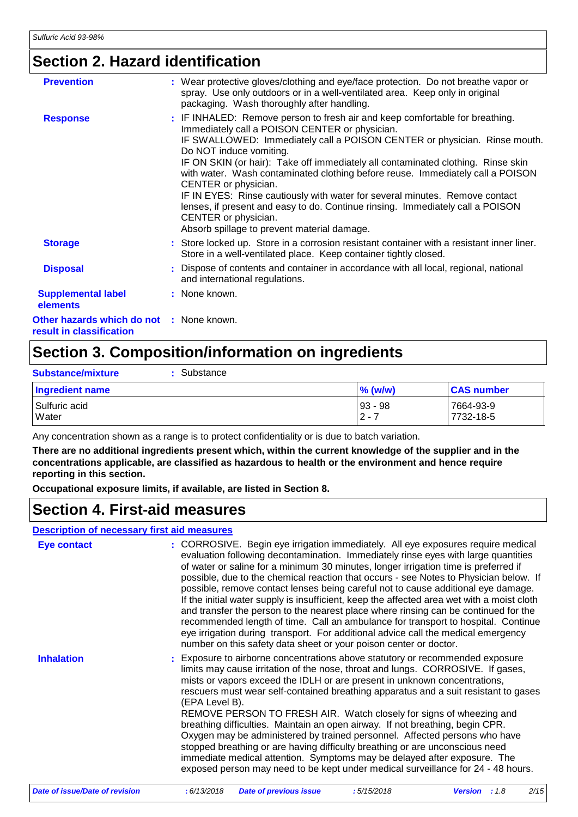### **Section 2. Hazard identification**

| <b>Prevention</b>                                                    | : Wear protective gloves/clothing and eye/face protection. Do not breathe vapor or<br>spray. Use only outdoors or in a well-ventilated area. Keep only in original<br>packaging. Wash thoroughly after handling.                                                                                                                                                                                                                                                                                                                                                                                                                                                             |
|----------------------------------------------------------------------|------------------------------------------------------------------------------------------------------------------------------------------------------------------------------------------------------------------------------------------------------------------------------------------------------------------------------------------------------------------------------------------------------------------------------------------------------------------------------------------------------------------------------------------------------------------------------------------------------------------------------------------------------------------------------|
| <b>Response</b>                                                      | : IF INHALED: Remove person to fresh air and keep comfortable for breathing.<br>Immediately call a POISON CENTER or physician.<br>IF SWALLOWED: Immediately call a POISON CENTER or physician. Rinse mouth.<br>Do NOT induce vomiting.<br>IF ON SKIN (or hair): Take off immediately all contaminated clothing. Rinse skin<br>with water. Wash contaminated clothing before reuse. Immediately call a POISON<br>CENTER or physician.<br>IF IN EYES: Rinse cautiously with water for several minutes. Remove contact<br>lenses, if present and easy to do. Continue rinsing. Immediately call a POISON<br>CENTER or physician.<br>Absorb spillage to prevent material damage. |
| <b>Storage</b>                                                       | : Store locked up. Store in a corrosion resistant container with a resistant inner liner.<br>Store in a well-ventilated place. Keep container tightly closed.                                                                                                                                                                                                                                                                                                                                                                                                                                                                                                                |
| <b>Disposal</b>                                                      | : Dispose of contents and container in accordance with all local, regional, national<br>and international regulations.                                                                                                                                                                                                                                                                                                                                                                                                                                                                                                                                                       |
| <b>Supplemental label</b><br>elements                                | : None known.                                                                                                                                                                                                                                                                                                                                                                                                                                                                                                                                                                                                                                                                |
| Other hazards which do not : None known.<br>result in classification |                                                                                                                                                                                                                                                                                                                                                                                                                                                                                                                                                                                                                                                                              |

### **Section 3. Composition/information on ingredients**

| Substance<br><b>Substance/mixture</b> |                        |                        |
|---------------------------------------|------------------------|------------------------|
| Ingredient name                       | $\%$ (w/w)             | <b>CAS number</b>      |
| l Sulfuric acid<br>Water              | $ 93 - 98 $<br>$2 - 7$ | 7664-93-9<br>7732-18-5 |

Any concentration shown as a range is to protect confidentiality or is due to batch variation.

**There are no additional ingredients present which, within the current knowledge of the supplier and in the concentrations applicable, are classified as hazardous to health or the environment and hence require reporting in this section.**

**Occupational exposure limits, if available, are listed in Section 8.**

### **Section 4. First-aid measures**

#### **Description of necessary first aid measures**

| <b>Eye contact</b> | : CORROSIVE. Begin eye irrigation immediately. All eye exposures require medical<br>evaluation following decontamination. Immediately rinse eyes with large quantities<br>of water or saline for a minimum 30 minutes, longer irrigation time is preferred if<br>possible, due to the chemical reaction that occurs - see Notes to Physician below. If<br>possible, remove contact lenses being careful not to cause additional eye damage.<br>If the initial water supply is insufficient, keep the affected area wet with a moist cloth<br>and transfer the person to the nearest place where rinsing can be continued for the<br>recommended length of time. Call an ambulance for transport to hospital. Continue<br>eye irrigation during transport. For additional advice call the medical emergency<br>number on this safety data sheet or your poison center or doctor. |
|--------------------|---------------------------------------------------------------------------------------------------------------------------------------------------------------------------------------------------------------------------------------------------------------------------------------------------------------------------------------------------------------------------------------------------------------------------------------------------------------------------------------------------------------------------------------------------------------------------------------------------------------------------------------------------------------------------------------------------------------------------------------------------------------------------------------------------------------------------------------------------------------------------------|
| <b>Inhalation</b>  | : Exposure to airborne concentrations above statutory or recommended exposure<br>limits may cause irritation of the nose, throat and lungs. CORROSIVE. If gases,<br>mists or vapors exceed the IDLH or are present in unknown concentrations,<br>rescuers must wear self-contained breathing apparatus and a suit resistant to gases<br>(EPA Level B).<br>REMOVE PERSON TO FRESH AIR. Watch closely for signs of wheezing and<br>breathing difficulties. Maintain an open airway. If not breathing, begin CPR.<br>Oxygen may be administered by trained personnel. Affected persons who have<br>stopped breathing or are having difficulty breathing or are unconscious need<br>immediate medical attention. Symptoms may be delayed after exposure. The<br>exposed person may need to be kept under medical surveillance for 24 - 48 hours.                                    |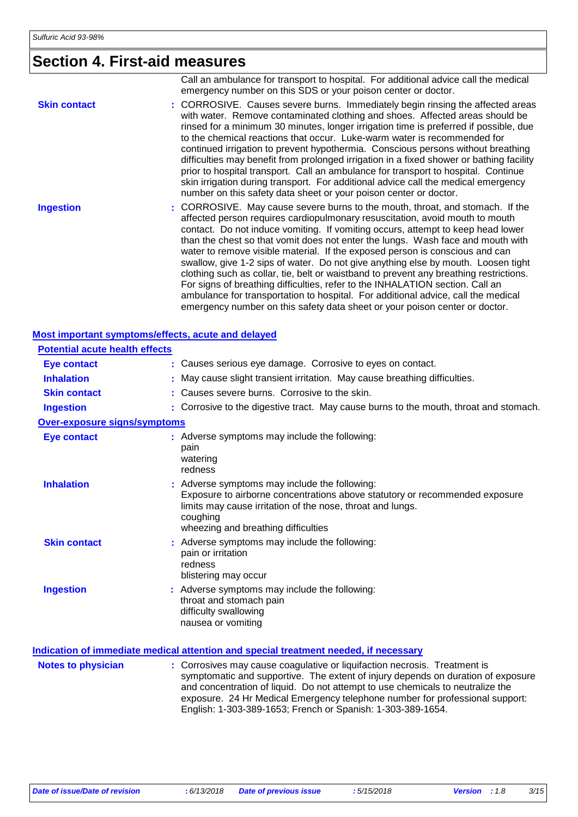## **Section 4. First-aid measures**

|                     | Call an ambulance for transport to hospital. For additional advice call the medical<br>emergency number on this SDS or your poison center or doctor.                                                                                                                                                                                                                                                                                                                                                                                                                                                                                                                                                                                                                                                                                                    |
|---------------------|---------------------------------------------------------------------------------------------------------------------------------------------------------------------------------------------------------------------------------------------------------------------------------------------------------------------------------------------------------------------------------------------------------------------------------------------------------------------------------------------------------------------------------------------------------------------------------------------------------------------------------------------------------------------------------------------------------------------------------------------------------------------------------------------------------------------------------------------------------|
| <b>Skin contact</b> | : CORROSIVE. Causes severe burns. Immediately begin rinsing the affected areas<br>with water. Remove contaminated clothing and shoes. Affected areas should be<br>rinsed for a minimum 30 minutes, longer irrigation time is preferred if possible, due<br>to the chemical reactions that occur. Luke-warm water is recommended for<br>continued irrigation to prevent hypothermia. Conscious persons without breathing<br>difficulties may benefit from prolonged irrigation in a fixed shower or bathing facility<br>prior to hospital transport. Call an ambulance for transport to hospital. Continue<br>skin irrigation during transport. For additional advice call the medical emergency<br>number on this safety data sheet or your poison center or doctor.                                                                                    |
| <b>Ingestion</b>    | : CORROSIVE. May cause severe burns to the mouth, throat, and stomach. If the<br>affected person requires cardiopulmonary resuscitation, avoid mouth to mouth<br>contact. Do not induce vomiting. If vomiting occurs, attempt to keep head lower<br>than the chest so that vomit does not enter the lungs. Wash face and mouth with<br>water to remove visible material. If the exposed person is conscious and can<br>swallow, give 1-2 sips of water. Do not give anything else by mouth. Loosen tight<br>clothing such as collar, tie, belt or waistband to prevent any breathing restrictions.<br>For signs of breathing difficulties, refer to the INHALATION section. Call an<br>ambulance for transportation to hospital. For additional advice, call the medical<br>emergency number on this safety data sheet or your poison center or doctor. |

### **Most important symptoms/effects, acute and delayed**

| <b>Potential acute health effects</b> |                                                                                                                                                                                                                                               |
|---------------------------------------|-----------------------------------------------------------------------------------------------------------------------------------------------------------------------------------------------------------------------------------------------|
| <b>Eye contact</b>                    | : Causes serious eye damage. Corrosive to eyes on contact.                                                                                                                                                                                    |
| <b>Inhalation</b>                     | : May cause slight transient irritation. May cause breathing difficulties.                                                                                                                                                                    |
| <b>Skin contact</b>                   | : Causes severe burns. Corrosive to the skin.                                                                                                                                                                                                 |
| <b>Ingestion</b>                      | : Corrosive to the digestive tract. May cause burns to the mouth, throat and stomach.                                                                                                                                                         |
| <b>Over-exposure signs/symptoms</b>   |                                                                                                                                                                                                                                               |
| <b>Eye contact</b>                    | : Adverse symptoms may include the following:<br>pain<br>watering<br>redness                                                                                                                                                                  |
| <b>Inhalation</b>                     | : Adverse symptoms may include the following:<br>Exposure to airborne concentrations above statutory or recommended exposure<br>limits may cause irritation of the nose, throat and lungs.<br>coughing<br>wheezing and breathing difficulties |
| <b>Skin contact</b>                   | : Adverse symptoms may include the following:<br>pain or irritation<br>redness<br>blistering may occur                                                                                                                                        |
| <b>Ingestion</b>                      | : Adverse symptoms may include the following:<br>throat and stomach pain<br>difficulty swallowing<br>nausea or vomiting                                                                                                                       |

|                           | Indication of immediate medical attention and special treatment needed, if necessary                                                                                                                                                                                                                                                                                                           |
|---------------------------|------------------------------------------------------------------------------------------------------------------------------------------------------------------------------------------------------------------------------------------------------------------------------------------------------------------------------------------------------------------------------------------------|
| <b>Notes to physician</b> | : Corrosives may cause coagulative or liquifaction necrosis. Treatment is<br>symptomatic and supportive. The extent of injury depends on duration of exposure<br>and concentration of liquid. Do not attempt to use chemicals to neutralize the<br>exposure. 24 Hr Medical Emergency telephone number for professional support:<br>English: 1-303-389-1653; French or Spanish: 1-303-389-1654. |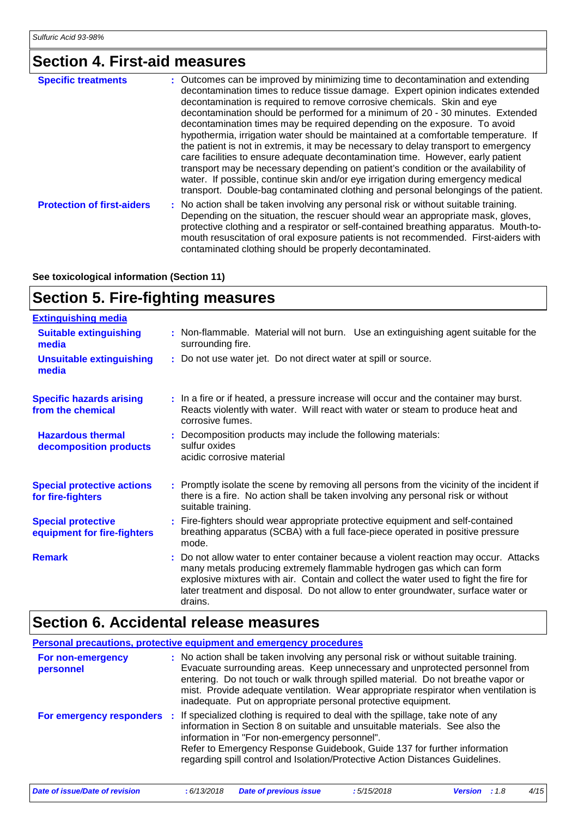## **Section 4. First-aid measures**

| <b>Specific treatments</b>        | : Outcomes can be improved by minimizing time to decontamination and extending<br>decontamination times to reduce tissue damage. Expert opinion indicates extended<br>decontamination is required to remove corrosive chemicals. Skin and eye<br>decontamination should be performed for a minimum of 20 - 30 minutes. Extended<br>decontamination times may be required depending on the exposure. To avoid<br>hypothermia, irrigation water should be maintained at a comfortable temperature. If<br>the patient is not in extremis, it may be necessary to delay transport to emergency<br>care facilities to ensure adequate decontamination time. However, early patient<br>transport may be necessary depending on patient's condition or the availability of<br>water. If possible, continue skin and/or eye irrigation during emergency medical<br>transport. Double-bag contaminated clothing and personal belongings of the patient. |
|-----------------------------------|------------------------------------------------------------------------------------------------------------------------------------------------------------------------------------------------------------------------------------------------------------------------------------------------------------------------------------------------------------------------------------------------------------------------------------------------------------------------------------------------------------------------------------------------------------------------------------------------------------------------------------------------------------------------------------------------------------------------------------------------------------------------------------------------------------------------------------------------------------------------------------------------------------------------------------------------|
| <b>Protection of first-aiders</b> | : No action shall be taken involving any personal risk or without suitable training.<br>Depending on the situation, the rescuer should wear an appropriate mask, gloves,<br>protective clothing and a respirator or self-contained breathing apparatus. Mouth-to-<br>mouth resuscitation of oral exposure patients is not recommended. First-aiders with<br>contaminated clothing should be properly decontaminated.                                                                                                                                                                                                                                                                                                                                                                                                                                                                                                                           |

**See toxicological information (Section 11)**

### **Section 5. Fire-fighting measures**

| <b>Extinguishing media</b>                               |                                                                                                                                                                                                                                                                                                                                                         |
|----------------------------------------------------------|---------------------------------------------------------------------------------------------------------------------------------------------------------------------------------------------------------------------------------------------------------------------------------------------------------------------------------------------------------|
| <b>Suitable extinguishing</b><br>media                   | : Non-flammable. Material will not burn. Use an extinguishing agent suitable for the<br>surrounding fire.                                                                                                                                                                                                                                               |
| <b>Unsuitable extinguishing</b><br>media                 | : Do not use water jet. Do not direct water at spill or source.                                                                                                                                                                                                                                                                                         |
| <b>Specific hazards arising</b><br>from the chemical     | : In a fire or if heated, a pressure increase will occur and the container may burst.<br>Reacts violently with water. Will react with water or steam to produce heat and<br>corrosive fumes.                                                                                                                                                            |
| <b>Hazardous thermal</b><br>decomposition products       | : Decomposition products may include the following materials:<br>sulfur oxides<br>acidic corrosive material                                                                                                                                                                                                                                             |
| <b>Special protective actions</b><br>for fire-fighters   | : Promptly isolate the scene by removing all persons from the vicinity of the incident if<br>there is a fire. No action shall be taken involving any personal risk or without<br>suitable training.                                                                                                                                                     |
| <b>Special protective</b><br>equipment for fire-fighters | : Fire-fighters should wear appropriate protective equipment and self-contained<br>breathing apparatus (SCBA) with a full face-piece operated in positive pressure<br>mode.                                                                                                                                                                             |
| <b>Remark</b>                                            | : Do not allow water to enter container because a violent reaction may occur. Attacks<br>many metals producing extremely flammable hydrogen gas which can form<br>explosive mixtures with air. Contain and collect the water used to fight the fire for<br>later treatment and disposal. Do not allow to enter groundwater, surface water or<br>drains. |

### **Section 6. Accidental release measures**

| <b>Personal precautions, protective equipment and emergency procedures</b> |                                                                                                                                                                                                                                                                                                                                                                                                                 |  |
|----------------------------------------------------------------------------|-----------------------------------------------------------------------------------------------------------------------------------------------------------------------------------------------------------------------------------------------------------------------------------------------------------------------------------------------------------------------------------------------------------------|--|
| For non-emergency<br>personnel                                             | : No action shall be taken involving any personal risk or without suitable training.<br>Evacuate surrounding areas. Keep unnecessary and unprotected personnel from<br>entering. Do not touch or walk through spilled material. Do not breathe vapor or<br>mist. Provide adequate ventilation. Wear appropriate respirator when ventilation is<br>inadequate. Put on appropriate personal protective equipment. |  |
| For emergency responders :                                                 | If specialized clothing is required to deal with the spillage, take note of any<br>information in Section 8 on suitable and unsuitable materials. See also the<br>information in "For non-emergency personnel".<br>Refer to Emergency Response Guidebook, Guide 137 for further information<br>regarding spill control and Isolation/Protective Action Distances Guidelines.                                    |  |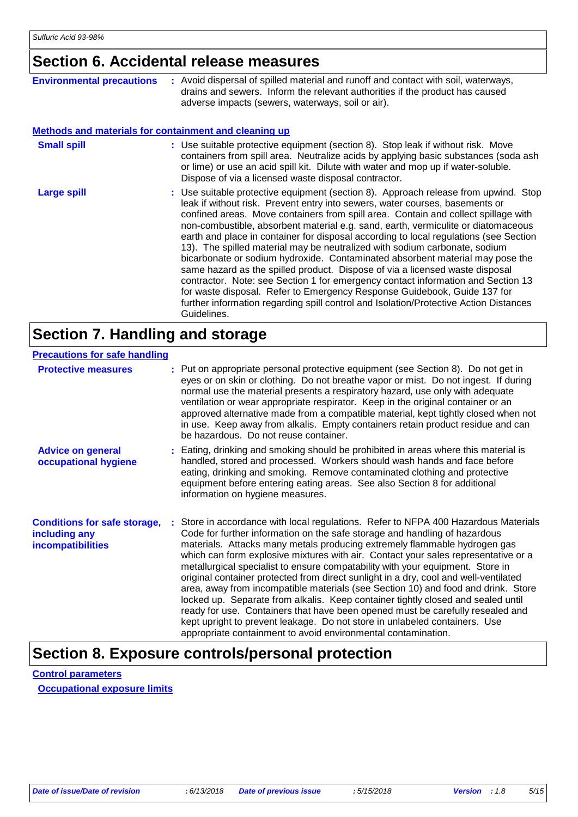### **Section 6. Accidental release measures**

| <b>Environmental precautions</b>                             | : Avoid dispersal of spilled material and runoff and contact with soil, waterways,<br>drains and sewers. Inform the relevant authorities if the product has caused<br>adverse impacts (sewers, waterways, soil or air).                                                                                                                                                                                                                                                                                                                                                                                                                                                                                                                                                                                                                                                                                                                                        |  |
|--------------------------------------------------------------|----------------------------------------------------------------------------------------------------------------------------------------------------------------------------------------------------------------------------------------------------------------------------------------------------------------------------------------------------------------------------------------------------------------------------------------------------------------------------------------------------------------------------------------------------------------------------------------------------------------------------------------------------------------------------------------------------------------------------------------------------------------------------------------------------------------------------------------------------------------------------------------------------------------------------------------------------------------|--|
| <b>Methods and materials for containment and cleaning up</b> |                                                                                                                                                                                                                                                                                                                                                                                                                                                                                                                                                                                                                                                                                                                                                                                                                                                                                                                                                                |  |
| <b>Small spill</b>                                           | : Use suitable protective equipment (section 8). Stop leak if without risk. Move<br>containers from spill area. Neutralize acids by applying basic substances (soda ash<br>or lime) or use an acid spill kit. Dilute with water and mop up if water-soluble.<br>Dispose of via a licensed waste disposal contractor.                                                                                                                                                                                                                                                                                                                                                                                                                                                                                                                                                                                                                                           |  |
| <b>Large spill</b>                                           | : Use suitable protective equipment (section 8). Approach release from upwind. Stop<br>leak if without risk. Prevent entry into sewers, water courses, basements or<br>confined areas. Move containers from spill area. Contain and collect spillage with<br>non-combustible, absorbent material e.g. sand, earth, vermiculite or diatomaceous<br>earth and place in container for disposal according to local regulations (see Section<br>13). The spilled material may be neutralized with sodium carbonate, sodium<br>bicarbonate or sodium hydroxide. Contaminated absorbent material may pose the<br>same hazard as the spilled product. Dispose of via a licensed waste disposal<br>contractor. Note: see Section 1 for emergency contact information and Section 13<br>for waste disposal. Refer to Emergency Response Guidebook, Guide 137 for<br>further information regarding spill control and Isolation/Protective Action Distances<br>Guidelines. |  |

### **Section 7. Handling and storage**

| <b>Precautions for safe handling</b>                                             |                                                                                                                                                                                                                                                                                                                                                                                                                                                                                                                                                                                                                                                                                                                                                                                                                                                                                                                          |
|----------------------------------------------------------------------------------|--------------------------------------------------------------------------------------------------------------------------------------------------------------------------------------------------------------------------------------------------------------------------------------------------------------------------------------------------------------------------------------------------------------------------------------------------------------------------------------------------------------------------------------------------------------------------------------------------------------------------------------------------------------------------------------------------------------------------------------------------------------------------------------------------------------------------------------------------------------------------------------------------------------------------|
| <b>Protective measures</b>                                                       | : Put on appropriate personal protective equipment (see Section 8). Do not get in<br>eyes or on skin or clothing. Do not breathe vapor or mist. Do not ingest. If during<br>normal use the material presents a respiratory hazard, use only with adequate<br>ventilation or wear appropriate respirator. Keep in the original container or an<br>approved alternative made from a compatible material, kept tightly closed when not<br>in use. Keep away from alkalis. Empty containers retain product residue and can<br>be hazardous. Do not reuse container.                                                                                                                                                                                                                                                                                                                                                          |
| <b>Advice on general</b><br>occupational hygiene                                 | : Eating, drinking and smoking should be prohibited in areas where this material is<br>handled, stored and processed. Workers should wash hands and face before<br>eating, drinking and smoking. Remove contaminated clothing and protective<br>equipment before entering eating areas. See also Section 8 for additional<br>information on hygiene measures.                                                                                                                                                                                                                                                                                                                                                                                                                                                                                                                                                            |
| <b>Conditions for safe storage,</b><br>including any<br><b>incompatibilities</b> | : Store in accordance with local regulations. Refer to NFPA 400 Hazardous Materials<br>Code for further information on the safe storage and handling of hazardous<br>materials. Attacks many metals producing extremely flammable hydrogen gas<br>which can form explosive mixtures with air. Contact your sales representative or a<br>metallurgical specialist to ensure compatability with your equipment. Store in<br>original container protected from direct sunlight in a dry, cool and well-ventilated<br>area, away from incompatible materials (see Section 10) and food and drink. Store<br>locked up. Separate from alkalis. Keep container tightly closed and sealed until<br>ready for use. Containers that have been opened must be carefully resealed and<br>kept upright to prevent leakage. Do not store in unlabeled containers. Use<br>appropriate containment to avoid environmental contamination. |

### **Section 8. Exposure controls/personal protection**

**Control parameters Occupational exposure limits**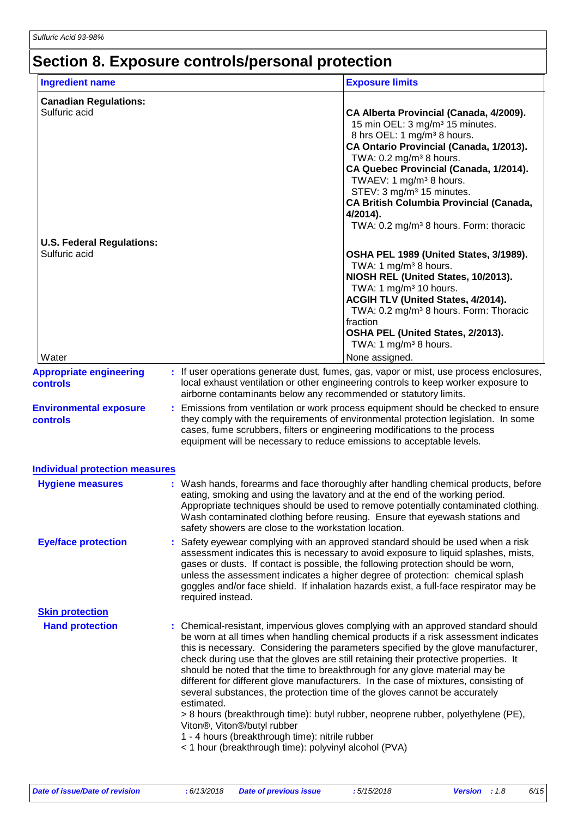# **Section 8. Exposure controls/personal protection**

| <b>Ingredient name</b>                            |                                                                                                                                                                                                                                     | <b>Exposure limits</b>                                                                                                                                                                                                                                                                                                                                                                                                                                                                                                                                                                                            |
|---------------------------------------------------|-------------------------------------------------------------------------------------------------------------------------------------------------------------------------------------------------------------------------------------|-------------------------------------------------------------------------------------------------------------------------------------------------------------------------------------------------------------------------------------------------------------------------------------------------------------------------------------------------------------------------------------------------------------------------------------------------------------------------------------------------------------------------------------------------------------------------------------------------------------------|
| <b>Canadian Regulations:</b><br>Sulfuric acid     |                                                                                                                                                                                                                                     | CA Alberta Provincial (Canada, 4/2009).<br>15 min OEL: 3 mg/m <sup>3</sup> 15 minutes.<br>8 hrs OEL: 1 mg/m <sup>3</sup> 8 hours.<br>CA Ontario Provincial (Canada, 1/2013).<br>TWA: $0.2 \text{ mg/m}^3$ 8 hours.<br>CA Quebec Provincial (Canada, 1/2014).<br>TWAEV: 1 mg/m <sup>3</sup> 8 hours.<br>STEV: 3 mg/m <sup>3</sup> 15 minutes.<br><b>CA British Columbia Provincial (Canada,</b><br>4/2014).<br>TWA: 0.2 mg/m <sup>3</sup> 8 hours. Form: thoracic                                                                                                                                                  |
| <b>U.S. Federal Regulations:</b><br>Sulfuric acid |                                                                                                                                                                                                                                     | OSHA PEL 1989 (United States, 3/1989).<br>TWA: 1 mg/m <sup>3</sup> 8 hours.<br>NIOSH REL (United States, 10/2013).<br>TWA: 1 mg/m <sup>3</sup> 10 hours.<br>ACGIH TLV (United States, 4/2014).<br>TWA: 0.2 mg/m <sup>3</sup> 8 hours. Form: Thoracic<br>fraction<br>OSHA PEL (United States, 2/2013).<br>TWA: 1 mg/m <sup>3</sup> 8 hours.                                                                                                                                                                                                                                                                        |
| Water                                             |                                                                                                                                                                                                                                     | None assigned.                                                                                                                                                                                                                                                                                                                                                                                                                                                                                                                                                                                                    |
| <b>Appropriate engineering</b><br>controls        | airborne contaminants below any recommended or statutory limits.                                                                                                                                                                    | : If user operations generate dust, fumes, gas, vapor or mist, use process enclosures,<br>local exhaust ventilation or other engineering controls to keep worker exposure to                                                                                                                                                                                                                                                                                                                                                                                                                                      |
| <b>Environmental exposure</b><br>controls         | cases, fume scrubbers, filters or engineering modifications to the process<br>equipment will be necessary to reduce emissions to acceptable levels.                                                                                 | Emissions from ventilation or work process equipment should be checked to ensure<br>they comply with the requirements of environmental protection legislation. In some                                                                                                                                                                                                                                                                                                                                                                                                                                            |
| <b>Individual protection measures</b>             |                                                                                                                                                                                                                                     |                                                                                                                                                                                                                                                                                                                                                                                                                                                                                                                                                                                                                   |
| <b>Hygiene measures</b>                           | safety showers are close to the workstation location.                                                                                                                                                                               | Wash hands, forearms and face thoroughly after handling chemical products, before<br>eating, smoking and using the lavatory and at the end of the working period.<br>Appropriate techniques should be used to remove potentially contaminated clothing.<br>Wash contaminated clothing before reusing. Ensure that eyewash stations and                                                                                                                                                                                                                                                                            |
| <b>Eye/face protection</b>                        | required instead.                                                                                                                                                                                                                   | Safety eyewear complying with an approved standard should be used when a risk<br>assessment indicates this is necessary to avoid exposure to liquid splashes, mists,<br>gases or dusts. If contact is possible, the following protection should be worn,<br>unless the assessment indicates a higher degree of protection: chemical splash<br>goggles and/or face shield. If inhalation hazards exist, a full-face respirator may be                                                                                                                                                                              |
| <b>Skin protection</b>                            |                                                                                                                                                                                                                                     |                                                                                                                                                                                                                                                                                                                                                                                                                                                                                                                                                                                                                   |
| <b>Hand protection</b>                            | several substances, the protection time of the gloves cannot be accurately<br>estimated.<br>Viton®, Viton®/butyl rubber<br>1 - 4 hours (breakthrough time): nitrile rubber<br>< 1 hour (breakthrough time): polyvinyl alcohol (PVA) | : Chemical-resistant, impervious gloves complying with an approved standard should<br>be worn at all times when handling chemical products if a risk assessment indicates<br>this is necessary. Considering the parameters specified by the glove manufacturer,<br>check during use that the gloves are still retaining their protective properties. It<br>should be noted that the time to breakthrough for any glove material may be<br>different for different glove manufacturers. In the case of mixtures, consisting of<br>> 8 hours (breakthrough time): butyl rubber, neoprene rubber, polyethylene (PE), |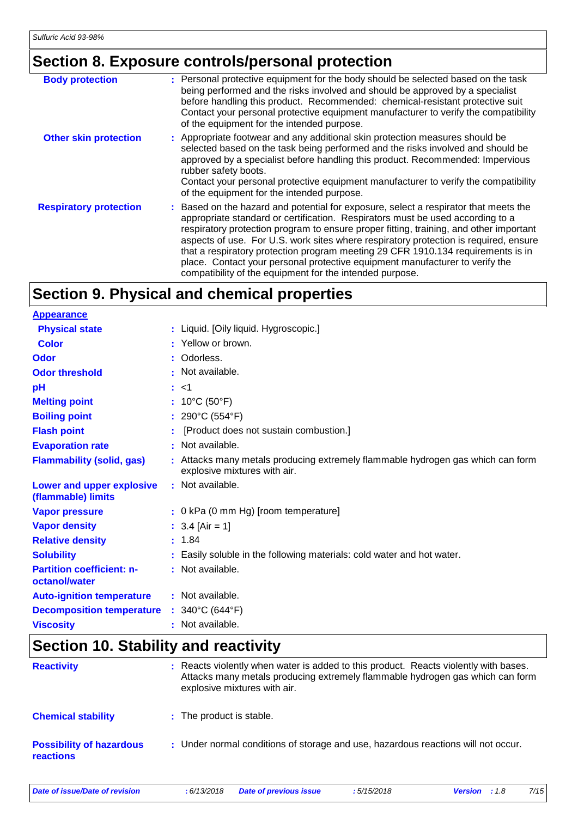## **Section 8. Exposure controls/personal protection**

| <b>Body protection</b>        | : Personal protective equipment for the body should be selected based on the task<br>being performed and the risks involved and should be approved by a specialist<br>before handling this product. Recommended: chemical-resistant protective suit<br>Contact your personal protective equipment manufacturer to verify the compatibility<br>of the equipment for the intended purpose.                                                                                                                                                                                                 |
|-------------------------------|------------------------------------------------------------------------------------------------------------------------------------------------------------------------------------------------------------------------------------------------------------------------------------------------------------------------------------------------------------------------------------------------------------------------------------------------------------------------------------------------------------------------------------------------------------------------------------------|
| <b>Other skin protection</b>  | : Appropriate footwear and any additional skin protection measures should be<br>selected based on the task being performed and the risks involved and should be<br>approved by a specialist before handling this product. Recommended: Impervious<br>rubber safety boots.<br>Contact your personal protective equipment manufacturer to verify the compatibility<br>of the equipment for the intended purpose.                                                                                                                                                                           |
| <b>Respiratory protection</b> | : Based on the hazard and potential for exposure, select a respirator that meets the<br>appropriate standard or certification. Respirators must be used according to a<br>respiratory protection program to ensure proper fitting, training, and other important<br>aspects of use. For U.S. work sites where respiratory protection is required, ensure<br>that a respiratory protection program meeting 29 CFR 1910.134 requirements is in<br>place. Contact your personal protective equipment manufacturer to verify the<br>compatibility of the equipment for the intended purpose. |

### **Section 9. Physical and chemical properties**

| <b>Appearance</b>                                 |                                                                                                                 |
|---------------------------------------------------|-----------------------------------------------------------------------------------------------------------------|
| <b>Physical state</b>                             | : Liquid. [Oily liquid. Hygroscopic.]                                                                           |
| <b>Color</b>                                      | : Yellow or brown.                                                                                              |
| Odor                                              | : Odorless.                                                                                                     |
| <b>Odor threshold</b>                             | : Not available.                                                                                                |
| pH                                                | : 1                                                                                                             |
| <b>Melting point</b>                              | : $10^{\circ}$ C (50 $^{\circ}$ F)                                                                              |
| <b>Boiling point</b>                              | : $290^{\circ}$ C (554 $^{\circ}$ F)                                                                            |
| <b>Flash point</b>                                | [Product does not sustain combustion.]                                                                          |
| <b>Evaporation rate</b>                           | : Not available.                                                                                                |
| <b>Flammability (solid, gas)</b>                  | : Attacks many metals producing extremely flammable hydrogen gas which can form<br>explosive mixtures with air. |
| Lower and upper explosive<br>(flammable) limits   | : Not available.                                                                                                |
| <b>Vapor pressure</b>                             | : 0 kPa (0 mm Hg) [room temperature]                                                                            |
| <b>Vapor density</b>                              | : $3.4$ [Air = 1]                                                                                               |
| <b>Relative density</b>                           | : 1.84                                                                                                          |
| <b>Solubility</b>                                 | : Easily soluble in the following materials: cold water and hot water.                                          |
| <b>Partition coefficient: n-</b><br>octanol/water | : Not available.                                                                                                |
| <b>Auto-ignition temperature</b>                  | : Not available.                                                                                                |
| <b>Decomposition temperature</b>                  | : $340^{\circ}$ C (644 $^{\circ}$ F)                                                                            |
| <b>Viscosity</b>                                  | : Not available.                                                                                                |

### **Section 10. Stability and reactivity**

| <b>Reactivity</b>                            | : Reacts violently when water is added to this product. Reacts violently with bases.<br>Attacks many metals producing extremely flammable hydrogen gas which can form<br>explosive mixtures with air. |
|----------------------------------------------|-------------------------------------------------------------------------------------------------------------------------------------------------------------------------------------------------------|
| <b>Chemical stability</b>                    | : The product is stable.                                                                                                                                                                              |
| <b>Possibility of hazardous</b><br>reactions | : Under normal conditions of storage and use, hazardous reactions will not occur.                                                                                                                     |

*Date of issue/Date of revision* **:** *6/13/2018 Date of previous issue : 5/15/2018 Version : 1.8 7/15*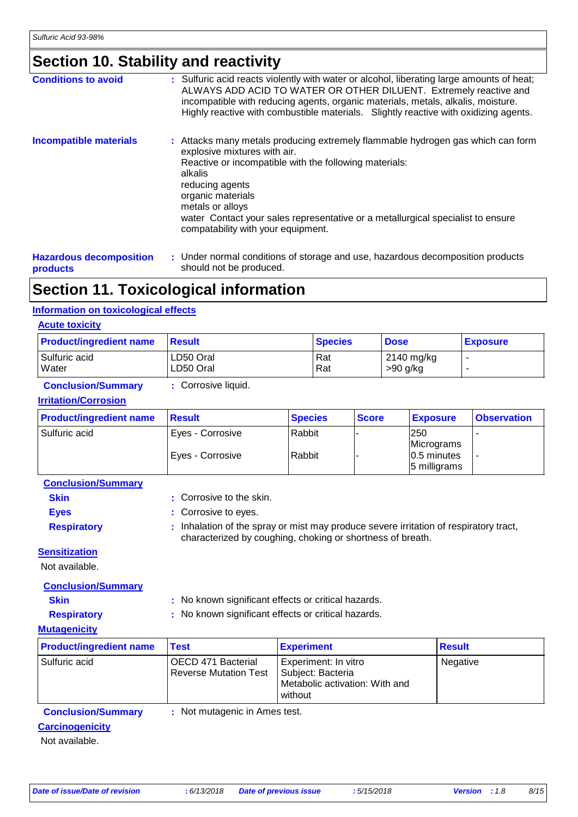### **Section 10. Stability and reactivity**

| <b>Conditions to avoid</b>     | : Sulfuric acid reacts violently with water or alcohol, liberating large amounts of heat;<br>ALWAYS ADD ACID TO WATER OR OTHER DILUENT. Extremely reactive and<br>incompatible with reducing agents, organic materials, metals, alkalis, moisture.<br>Highly reactive with combustible materials. Slightly reactive with oxidizing agents.                                |
|--------------------------------|---------------------------------------------------------------------------------------------------------------------------------------------------------------------------------------------------------------------------------------------------------------------------------------------------------------------------------------------------------------------------|
| <b>Incompatible materials</b>  | : Attacks many metals producing extremely flammable hydrogen gas which can form<br>explosive mixtures with air.<br>Reactive or incompatible with the following materials:<br>alkalis<br>reducing agents<br>organic materials<br>metals or alloys<br>water Contact your sales representative or a metallurgical specialist to ensure<br>compatability with your equipment. |
| <b>Hazardous decomposition</b> | : Under normal conditions of storage and use, hazardous decomposition products                                                                                                                                                                                                                                                                                            |

**products**

Under normal conditions of storage and use, hazardous decomposition products should not be produced.

### **Section 11. Toxicological information**

#### **Information on toxicological effects**

#### **Acute toxicity**

| <b>Product/ingredient name</b> | <b>Result</b> | <b>Species</b> | <b>Dose</b> | <u>  Exposure</u> |
|--------------------------------|---------------|----------------|-------------|-------------------|
| Sulfuric acid                  | LD50 Oral     | Rat            | 2140 mg/kg  |                   |
| Water                          | LD50 Oral     | Rat            | $>90$ g/kg  |                   |

#### **Conclusion/Summary :** Corrosive liquid.

#### **Irritation/Corrosion**

| <b>Product/ingredient name</b> | <b>Result</b>                          | <b>Species</b>   | <b>Score</b> | <b>Exposure</b>                  | <b>Observation</b> |
|--------------------------------|----------------------------------------|------------------|--------------|----------------------------------|--------------------|
| Sulfuric acid                  | Eyes - Corrosive<br>  Eyes - Corrosive | Rabbit<br>Rabbit |              | 250<br>Micrograms<br>0.5 minutes |                    |
|                                |                                        |                  |              | 5 milligrams                     |                    |

| <b>Conclusion/Summary</b> |  |  |  |
|---------------------------|--|--|--|
|                           |  |  |  |

- **Skin** : Corrosive to the skin.
- **Eyes :** Corrosive to eyes.
- 
- 
- 
- 
- 
- 
- Respiratory : Inhalation of the spray or mist may produce severe irritation of respiratory tract, characterized by coughing, choking or shortness of breath.

#### **Sensitization**

Not available.

**Conclusion/Summary**

**Skin** : No known significant effects or critical hazards.

**Respiratory :** No known significant effects or critical hazards.

#### **Mutagenicity**

| <b>Product/ingredient name</b> | <b>Test</b>                                        | <b>Experiment</b>                                                                        | <b>Result</b> |
|--------------------------------|----------------------------------------------------|------------------------------------------------------------------------------------------|---------------|
| l Sulfuric acid                | OECD 471 Bacterial<br><b>Reverse Mutation Test</b> | Experiment: In vitro<br>  Subject: Bacteria<br>Metabolic activation: With and<br>without | Negative      |
| Construction IQ conservative   | . Not mutagonia in Amaa toot                       |                                                                                          |               |

#### **Conclusion/Summary :** Not mutagenic in Ames test.

#### **Carcinogenicity**

Not available.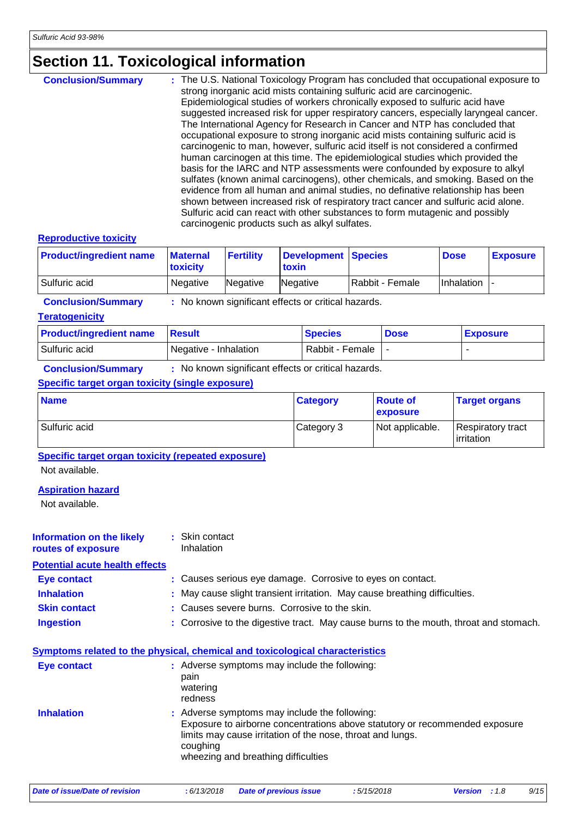### **Section 11. Toxicological information**

| <b>Conclusion/Summary</b> | : The U.S. National Toxicology Program has concluded that occupational exposure to<br>strong inorganic acid mists containing sulfuric acid are carcinogenic.                                                                                                                                                                                                                                                                                                            |
|---------------------------|-------------------------------------------------------------------------------------------------------------------------------------------------------------------------------------------------------------------------------------------------------------------------------------------------------------------------------------------------------------------------------------------------------------------------------------------------------------------------|
|                           | Epidemiological studies of workers chronically exposed to sulfuric acid have<br>suggested increased risk for upper respiratory cancers, especially laryngeal cancer.                                                                                                                                                                                                                                                                                                    |
|                           | The International Agency for Research in Cancer and NTP has concluded that<br>occupational exposure to strong inorganic acid mists containing sulfuric acid is<br>carcinogenic to man, however, sulfuric acid itself is not considered a confirmed<br>human carcinogen at this time. The epidemiological studies which provided the                                                                                                                                     |
|                           | basis for the IARC and NTP assessments were confounded by exposure to alkyl<br>sulfates (known animal carcinogens), other chemicals, and smoking. Based on the<br>evidence from all human and animal studies, no definative relationship has been<br>shown between increased risk of respiratory tract cancer and sulfuric acid alone.<br>Sulfuric acid can react with other substances to form mutagenic and possibly<br>carcinogenic products such as alkyl sulfates. |

#### **Reproductive toxicity**

| <b>Product/ingredient name</b> | <b>Maternal</b><br><b>toxicity</b> | <b>Fertility</b> | Development Species<br>toxin |                 | <b>Dose</b>    | <b>Exposure</b> |
|--------------------------------|------------------------------------|------------------|------------------------------|-----------------|----------------|-----------------|
| Sulfuric acid                  | Negative                           | Negative         | Negative                     | Rabbit - Female | $Inhalation$ - |                 |

**Conclusion/Summary :** No known significant effects or critical hazards.

#### **Teratogenicity**

| <b>Product/ingredient name</b> | <b>∃Result</b>        | <b>Species</b>  | <b>Dose</b> | <b>Exposure</b> |
|--------------------------------|-----------------------|-----------------|-------------|-----------------|
| Sulfuric acid                  | Negative - Inhalation | Rabbit - Female |             |                 |

**Conclusion/Summary :** No known significant effects or critical hazards.

#### **Specific target organ toxicity (single exposure)**

| <b>Name</b>   | <b>Category</b> | <b>Route of</b><br><b>exposure</b> | <b>Target organs</b>            |
|---------------|-----------------|------------------------------------|---------------------------------|
| Sulfuric acid | Category 3      | Not applicable.                    | Respiratory tract<br>irritation |

**Specific target organ toxicity (repeated exposure)**

Not available.

#### **Aspiration hazard**

Not available.

#### **Information on the likely routes of exposure :** Skin contact Inhalation

**Potential acute health effects**

| <b>Eye contact</b> |  | : Causes serious eye damage. Corrosive to eyes on contact. |
|--------------------|--|------------------------------------------------------------|
|                    |  |                                                            |

| <b>Inhalation</b> | May cause slight transient irritation. May cause breathing difficulties. |  |
|-------------------|--------------------------------------------------------------------------|--|
|                   |                                                                          |  |

- **Skin contact** : Causes severe burns. Corrosive to the skin.
- **Ingestion :** Corrosive to the digestive tract. May cause burns to the mouth, throat and stomach.

| <b>Eye contact</b> | : Adverse symptoms may include the following:<br>pain<br>watering<br>redness                                                                                                                                                                  |
|--------------------|-----------------------------------------------------------------------------------------------------------------------------------------------------------------------------------------------------------------------------------------------|
| <b>Inhalation</b>  | : Adverse symptoms may include the following:<br>Exposure to airborne concentrations above statutory or recommended exposure<br>limits may cause irritation of the nose, throat and lungs.<br>coughing<br>wheezing and breathing difficulties |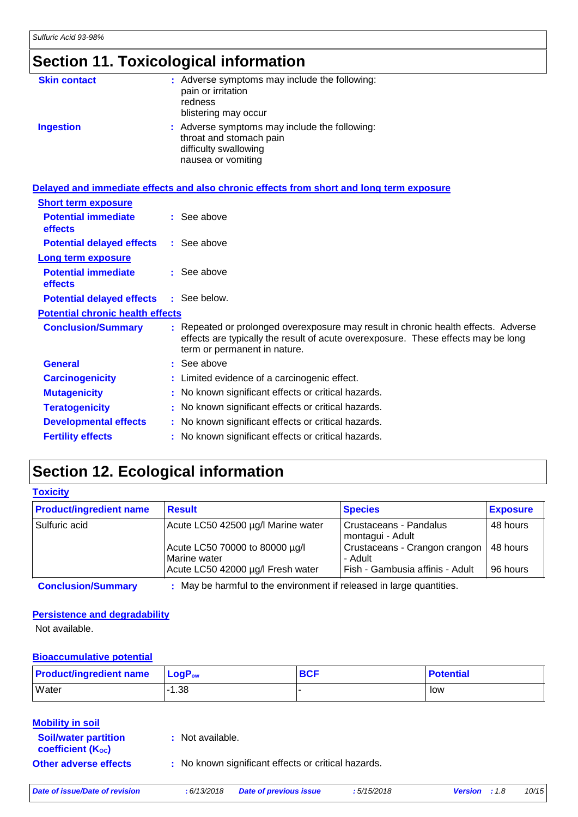## **Section 11. Toxicological information**

| <b>Skin contact</b> | : Adverse symptoms may include the following:<br>pain or irritation<br>redness<br>blistering may occur                  |
|---------------------|-------------------------------------------------------------------------------------------------------------------------|
| <b>Ingestion</b>    | : Adverse symptoms may include the following:<br>throat and stomach pain<br>difficulty swallowing<br>nausea or vomiting |

|                                              | Delayed and immediate effects and also chronic effects from short and long term exposure                                                                                                                |
|----------------------------------------------|---------------------------------------------------------------------------------------------------------------------------------------------------------------------------------------------------------|
| <b>Short term exposure</b>                   |                                                                                                                                                                                                         |
| <b>Potential immediate</b><br><b>effects</b> | $:$ See above                                                                                                                                                                                           |
| <b>Potential delayed effects</b>             | : See above                                                                                                                                                                                             |
| Long term exposure                           |                                                                                                                                                                                                         |
| <b>Potential immediate</b><br><b>effects</b> | $:$ See above                                                                                                                                                                                           |
| <b>Potential delayed effects</b>             | : See below.                                                                                                                                                                                            |
| <b>Potential chronic health effects</b>      |                                                                                                                                                                                                         |
| <b>Conclusion/Summary</b>                    | : Repeated or prolonged overexposure may result in chronic health effects. Adverse<br>effects are typically the result of acute overexposure. These effects may be long<br>term or permanent in nature. |
| <b>General</b>                               | : See above                                                                                                                                                                                             |
| <b>Carcinogenicity</b>                       | : Limited evidence of a carcinogenic effect.                                                                                                                                                            |
| <b>Mutagenicity</b>                          | : No known significant effects or critical hazards.                                                                                                                                                     |
| <b>Teratogenicity</b>                        | : No known significant effects or critical hazards.                                                                                                                                                     |
| <b>Developmental effects</b>                 | : No known significant effects or critical hazards.                                                                                                                                                     |
| <b>Fertility effects</b>                     | : No known significant effects or critical hazards.                                                                                                                                                     |

## **Section 12. Ecological information**

| <b>Toxicity</b>                |                                                                      |                                            |                 |
|--------------------------------|----------------------------------------------------------------------|--------------------------------------------|-----------------|
| <b>Product/ingredient name</b> | <b>Result</b>                                                        | <b>Species</b>                             | <b>Exposure</b> |
| Sulfuric acid                  | Acute LC50 42500 µg/l Marine water                                   | Crustaceans - Pandalus<br>montagui - Adult | 48 hours        |
|                                | Acute LC50 70000 to 80000 µg/l<br>Marine water                       | Crustaceans - Crangon crangon<br>- Adult   | 48 hours        |
|                                | Acute LC50 42000 µg/l Fresh water                                    | Fish - Gambusia affinis - Adult            | 96 hours        |
| <b>Conclusion/Summary</b>      | : May be harmful to the environment if released in large quantities. |                                            |                 |

#### **Persistence and degradability**

Not available.

#### **Bioaccumulative potential**

| <b>Product/ingredient name</b> | $\mathsf{LogP}_\mathsf{ow}$ | <b>BCF</b> | <b>Potential</b> |
|--------------------------------|-----------------------------|------------|------------------|
| Water                          | $-1.38$                     |            | low              |

| <b>Mobility in soil</b>                                 |                                                     |
|---------------------------------------------------------|-----------------------------------------------------|
| <b>Soil/water partition</b><br><b>coefficient (Koc)</b> | : Not available.                                    |
| <b>Other adverse effects</b>                            | : No known significant effects or critical hazards. |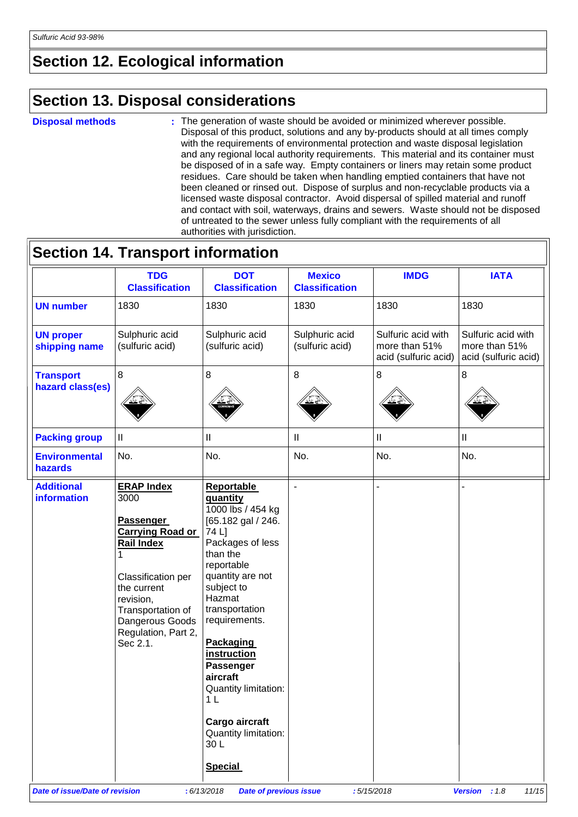### **Section 12. Ecological information**

### **Section 13. Disposal considerations**

#### **Disposal methods :**

Ŀ

The generation of waste should be avoided or minimized wherever possible. Disposal of this product, solutions and any by-products should at all times comply with the requirements of environmental protection and waste disposal legislation and any regional local authority requirements. This material and its container must be disposed of in a safe way. Empty containers or liners may retain some product residues. Care should be taken when handling emptied containers that have not been cleaned or rinsed out. Dispose of surplus and non-recyclable products via a licensed waste disposal contractor. Avoid dispersal of spilled material and runoff and contact with soil, waterways, drains and sewers. Waste should not be disposed of untreated to the sewer unless fully compliant with the requirements of all authorities with jurisdiction.

|                                         | <b>TDG</b><br><b>Classification</b>                                                                                                                                                                          | <b>DOT</b><br><b>Classification</b>                                                                                                                                                                                                                                                                                                                                                     | <b>Mexico</b><br><b>Classification</b> | <b>IMDG</b>                                                 | <b>IATA</b>                                                 |
|-----------------------------------------|--------------------------------------------------------------------------------------------------------------------------------------------------------------------------------------------------------------|-----------------------------------------------------------------------------------------------------------------------------------------------------------------------------------------------------------------------------------------------------------------------------------------------------------------------------------------------------------------------------------------|----------------------------------------|-------------------------------------------------------------|-------------------------------------------------------------|
| <b>UN number</b>                        | 1830                                                                                                                                                                                                         | 1830                                                                                                                                                                                                                                                                                                                                                                                    | 1830                                   | 1830                                                        | 1830                                                        |
| <b>UN proper</b><br>shipping name       | Sulphuric acid<br>(sulfuric acid)                                                                                                                                                                            | Sulphuric acid<br>(sulfuric acid)                                                                                                                                                                                                                                                                                                                                                       | Sulphuric acid<br>(sulfuric acid)      | Sulfuric acid with<br>more than 51%<br>acid (sulfuric acid) | Sulfuric acid with<br>more than 51%<br>acid (sulfuric acid) |
| <b>Transport</b><br>hazard class(es)    | 8                                                                                                                                                                                                            | 8                                                                                                                                                                                                                                                                                                                                                                                       | 8                                      | 8                                                           | 8                                                           |
| <b>Packing group</b>                    | $\mathop{\rm II}\nolimits$                                                                                                                                                                                   | $\ensuremath{\mathsf{II}}$                                                                                                                                                                                                                                                                                                                                                              | $\ensuremath{\mathsf{II}}$             | Ш                                                           | $\ensuremath{\mathsf{II}}$                                  |
| <b>Environmental</b><br>hazards         | No.                                                                                                                                                                                                          | No.                                                                                                                                                                                                                                                                                                                                                                                     | No.                                    | No.                                                         | No.                                                         |
| <b>Additional</b><br><b>information</b> | <b>ERAP Index</b><br>3000<br>Passenger<br><b>Carrying Road or</b><br>Rail Index<br>Classification per<br>the current<br>revision,<br>Transportation of<br>Dangerous Goods<br>Regulation, Part 2,<br>Sec 2.1. | <b>Reportable</b><br>quantity<br>1000 lbs / 454 kg<br>[65.182 gal / 246.<br>74 L]<br>Packages of less<br>than the<br>reportable<br>quantity are not<br>subject to<br>Hazmat<br>transportation<br>requirements.<br><b>Packaging</b><br>instruction<br>Passenger<br>aircraft<br>Quantity limitation:<br>1 <sub>L</sub><br>Cargo aircraft<br>Quantity limitation:<br>30L<br><b>Special</b> | $\overline{\phantom{a}}$               |                                                             |                                                             |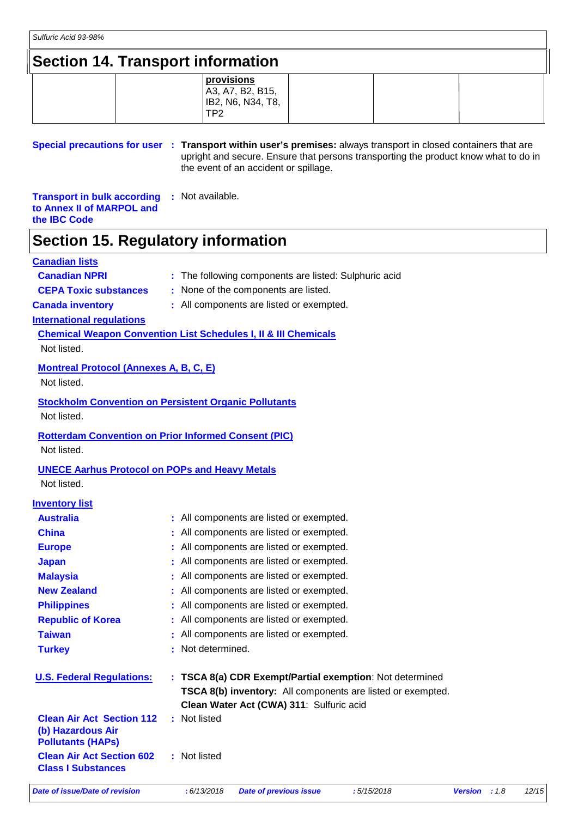### **Section 14. Transport information**

|  | provisions        |  |  |
|--|-------------------|--|--|
|  | A3, A7, B2, B15,  |  |  |
|  | IB2, N6, N34, T8, |  |  |
|  | TP <sub>2</sub>   |  |  |
|  |                   |  |  |

**Special precautions for user** : Transport within user's premises: always transport in closed containers that are upright and secure. Ensure that persons transporting the product know what to do in the event of an accident or spillage.

**Transport in bulk according to Annex II of MARPOL and the IBC Code :** Not available.

### **Section 15. Regulatory information**

#### **Canadian lists**

#### **Canadian NPRI** : The following components are listed: Sulphuric acid

**CEPA Toxic substances :** None of the components are listed.

**Canada inventory :** All components are listed or exempted.

**International regulations**

**Chemical Weapon Convention List Schedules I, II & III Chemicals** Not listed.

**Montreal Protocol (Annexes A, B, C, E)**

Not listed.

**Stockholm Convention on Persistent Organic Pollutants** Not listed.

#### **Rotterdam Convention on Prior Informed Consent (PIC)** Not listed.

**UNECE Aarhus Protocol on POPs and Heavy Metals**

Not listed.

#### **Inventory list**

| Date of issue/Date of revision                                                    |     | : 6/13/2018<br><b>Date of previous issue</b><br>:5/15/2018  | <b>Version</b> | : 1.8 | 12/15 |  |
|-----------------------------------------------------------------------------------|-----|-------------------------------------------------------------|----------------|-------|-------|--|
| <b>Clean Air Act Section 602</b><br><b>Class I Substances</b>                     |     | : Not listed                                                |                |       |       |  |
| <b>Clean Air Act Section 112</b><br>(b) Hazardous Air<br><b>Pollutants (HAPS)</b> |     | : Not listed                                                |                |       |       |  |
|                                                                                   |     | Clean Water Act (CWA) 311: Sulfuric acid                    |                |       |       |  |
|                                                                                   |     | TSCA 8(b) inventory: All components are listed or exempted. |                |       |       |  |
| <b>U.S. Federal Regulations:</b>                                                  |     | : TSCA 8(a) CDR Exempt/Partial exemption: Not determined    |                |       |       |  |
| <b>Turkey</b>                                                                     | -11 | Not determined.                                             |                |       |       |  |
| <b>Taiwan</b>                                                                     |     | All components are listed or exempted.                      |                |       |       |  |
| <b>Republic of Korea</b>                                                          |     | : All components are listed or exempted.                    |                |       |       |  |
| <b>Philippines</b>                                                                |     | : All components are listed or exempted.                    |                |       |       |  |
| <b>New Zealand</b>                                                                |     | : All components are listed or exempted.                    |                |       |       |  |
| <b>Malaysia</b>                                                                   |     | : All components are listed or exempted.                    |                |       |       |  |
| <b>Japan</b>                                                                      |     | : All components are listed or exempted.                    |                |       |       |  |
| <b>Europe</b>                                                                     |     | : All components are listed or exempted.                    |                |       |       |  |
| <b>China</b>                                                                      |     | : All components are listed or exempted.                    |                |       |       |  |
| <b>Australia</b>                                                                  |     | : All components are listed or exempted.                    |                |       |       |  |
|                                                                                   |     |                                                             |                |       |       |  |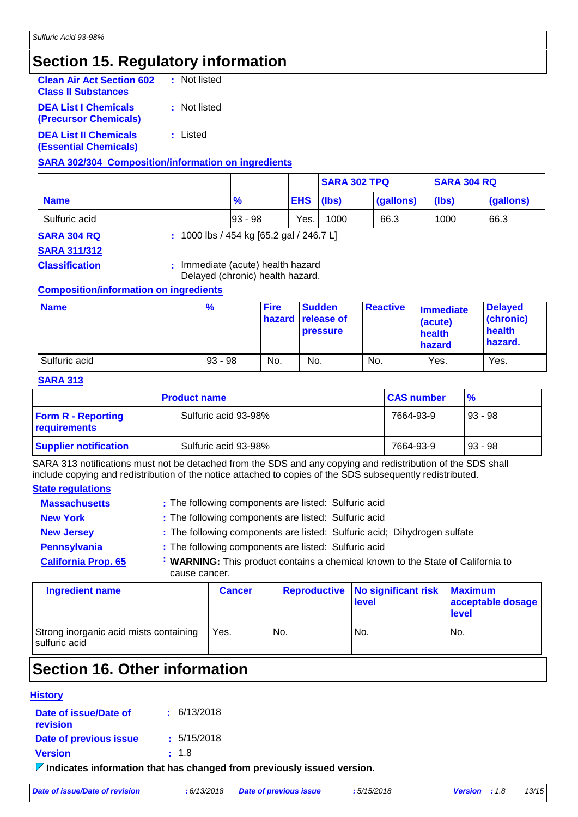### **Section 15. Regulatory information**

| <b>Clean Air Act Section 602</b><br><b>Class II Substances</b> | : Not listed |
|----------------------------------------------------------------|--------------|
| <b>DEA List I Chemicals</b><br><b>(Precursor Chemicals)</b>    | : Not listed |
| <b>DEA List II Chemicals</b><br><b>(Essential Chemicals)</b>   | : Listed     |

**SARA 302/304 Composition/information on ingredients**

|               |               |            | <b>SARA 302 TPQ</b> |           | <b>SARA 304 RQ</b> |           |
|---------------|---------------|------------|---------------------|-----------|--------------------|-----------|
| <b>Name</b>   | $\frac{9}{6}$ | <b>EHS</b> | (lbs)               | (gallons) | (lbs)              | (gallons) |
| Sulfuric acid | $ 93 - 98$    | Yes.       | 1000                | 66.3      | 1000               | 66.3      |

**SARA 311/312**

**SARA 304 RQ :** 1000 lbs / 454 kg [65.2 gal / 246.7 L]

**Classification :** Immediate (acute) health hazard

Delayed (chronic) health hazard.

#### **Composition/information on ingredients**

| <b>Name</b>   | $\frac{9}{6}$ | <b>Fire</b> | <b>Sudden</b><br><b>hazard release of</b><br><b>pressure</b> | Reactive | <b>Immediate</b><br>(acute)<br>health<br>hazard | <b>Delayed</b><br>(chronic)<br>health<br>hazard. |
|---------------|---------------|-------------|--------------------------------------------------------------|----------|-------------------------------------------------|--------------------------------------------------|
| Sulfuric acid | $93 - 98$     | No.         | No.                                                          | No.      | Yes.                                            | Yes.                                             |

#### **SARA 313**

|                                           | <b>Product name</b>  | <b>CAS number</b> | $\frac{9}{6}$ |
|-------------------------------------------|----------------------|-------------------|---------------|
| <b>Form R - Reporting</b><br>requirements | Sulfuric acid 93-98% | 7664-93-9         | $93 - 98$     |
| <b>Supplier notification</b>              | Sulfuric acid 93-98% | 7664-93-9         | $93 - 98$     |

SARA 313 notifications must not be detached from the SDS and any copying and redistribution of the SDS shall include copying and redistribution of the notice attached to copies of the SDS subsequently redistributed.

#### **State regulations**

| <b>Massachusetts</b>       | : The following components are listed: Sulfuric acid                                             |
|----------------------------|--------------------------------------------------------------------------------------------------|
| <b>New York</b>            | : The following components are listed: Sulfuric acid                                             |
| <b>New Jersey</b>          | : The following components are listed: Sulfuric acid; Dihydrogen sulfate                         |
| <b>Pennsylvania</b>        | : The following components are listed: Sulfuric acid                                             |
| <b>California Prop. 65</b> | : WARNING: This product contains a chemical known to the State of California to<br>cause cancer. |
|                            |                                                                                                  |

| <b>Ingredient name</b>                                  | <b>Cancer</b> |     | <b>Reproductive No significant risk</b><br>level | <b>Maximum</b><br>acceptable dosage<br>level |
|---------------------------------------------------------|---------------|-----|--------------------------------------------------|----------------------------------------------|
| Strong inorganic acid mists containing<br>sulfuric acid | Yes.          | No. | No.                                              | No.                                          |

### **Section 16. Other information**

#### **History Date of issue/Date of revision**

**:** 6/13/2018

**Date of previous issue :** 5/15/2018

**Version :** 1.8

**Indicates information that has changed from previously issued version.**

| Date of issue/Date of revision | : 6/13/2018 | <b>Date of previous issue</b> | :5/15/2018 |
|--------------------------------|-------------|-------------------------------|------------|
|                                |             |                               |            |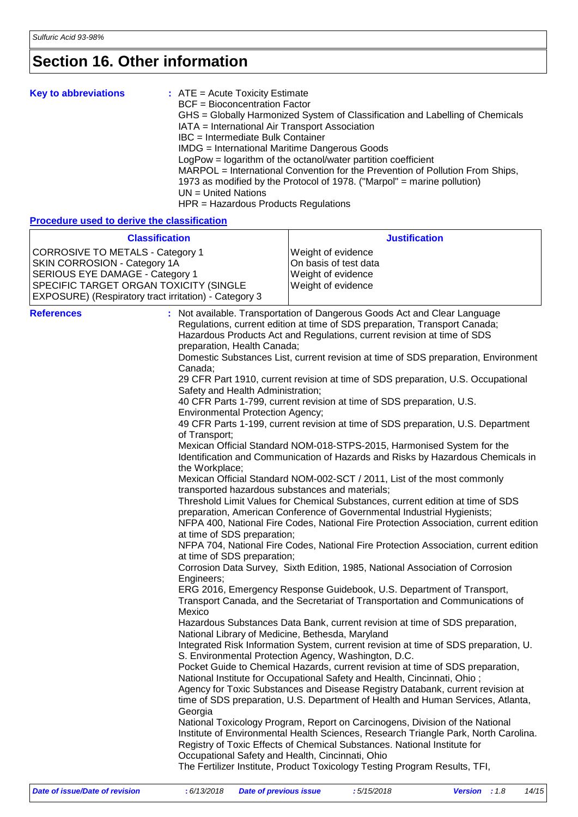## **Section 16. Other information**

| <b>Key to abbreviations</b> | $:$ ATE = Acute Toxicity Estimate<br>BCF = Bioconcentration Factor<br>GHS = Globally Harmonized System of Classification and Labelling of Chemicals<br>IATA = International Air Transport Association<br>IBC = Intermediate Bulk Container<br>IMDG = International Maritime Dangerous Goods<br>LogPow = logarithm of the octanol/water partition coefficient<br>MARPOL = International Convention for the Prevention of Pollution From Ships,<br>1973 as modified by the Protocol of 1978. ("Marpol" = marine pollution)<br>$UN = United Nations$ |
|-----------------------------|---------------------------------------------------------------------------------------------------------------------------------------------------------------------------------------------------------------------------------------------------------------------------------------------------------------------------------------------------------------------------------------------------------------------------------------------------------------------------------------------------------------------------------------------------|
|                             | $HPR = \text{Hazardous Products Requirements}$                                                                                                                                                                                                                                                                                                                                                                                                                                                                                                    |

### **Procedure used to derive the classification**

| <b>Classification</b>                                                                                                                                                                                         | <b>Justification</b>                                                                                                                                                                                                                                                                                                                                                                                                                                                                                                                                                                                                                                                                                                                                                                                                                                                                                                                                                                                                                                                                                                                                                                                                                                                                                                                                                                                                                                                                                                                                                                                                                                                                                                                                                                                                                                                                                                                                                                                                                                                                                                                                                                                                                                                                                                                                                                                                                                                                                                                                                                                                                                 |
|---------------------------------------------------------------------------------------------------------------------------------------------------------------------------------------------------------------|------------------------------------------------------------------------------------------------------------------------------------------------------------------------------------------------------------------------------------------------------------------------------------------------------------------------------------------------------------------------------------------------------------------------------------------------------------------------------------------------------------------------------------------------------------------------------------------------------------------------------------------------------------------------------------------------------------------------------------------------------------------------------------------------------------------------------------------------------------------------------------------------------------------------------------------------------------------------------------------------------------------------------------------------------------------------------------------------------------------------------------------------------------------------------------------------------------------------------------------------------------------------------------------------------------------------------------------------------------------------------------------------------------------------------------------------------------------------------------------------------------------------------------------------------------------------------------------------------------------------------------------------------------------------------------------------------------------------------------------------------------------------------------------------------------------------------------------------------------------------------------------------------------------------------------------------------------------------------------------------------------------------------------------------------------------------------------------------------------------------------------------------------------------------------------------------------------------------------------------------------------------------------------------------------------------------------------------------------------------------------------------------------------------------------------------------------------------------------------------------------------------------------------------------------------------------------------------------------------------------------------------------------|
| <b>CORROSIVE TO METALS - Category 1</b><br>SKIN CORROSION - Category 1A<br>SERIOUS EYE DAMAGE - Category 1<br>SPECIFIC TARGET ORGAN TOXICITY (SINGLE<br>EXPOSURE) (Respiratory tract irritation) - Category 3 | Weight of evidence<br>On basis of test data<br>Weight of evidence<br>Weight of evidence                                                                                                                                                                                                                                                                                                                                                                                                                                                                                                                                                                                                                                                                                                                                                                                                                                                                                                                                                                                                                                                                                                                                                                                                                                                                                                                                                                                                                                                                                                                                                                                                                                                                                                                                                                                                                                                                                                                                                                                                                                                                                                                                                                                                                                                                                                                                                                                                                                                                                                                                                              |
| <b>References</b><br>Canada;<br>of Transport;<br>the Workplace;<br>Engineers;<br>Mexico<br>Georgia                                                                                                            | : Not available. Transportation of Dangerous Goods Act and Clear Language<br>Regulations, current edition at time of SDS preparation, Transport Canada;<br>Hazardous Products Act and Regulations, current revision at time of SDS<br>preparation, Health Canada;<br>Domestic Substances List, current revision at time of SDS preparation, Environment<br>29 CFR Part 1910, current revision at time of SDS preparation, U.S. Occupational<br>Safety and Health Administration;<br>40 CFR Parts 1-799, current revision at time of SDS preparation, U.S.<br><b>Environmental Protection Agency;</b><br>49 CFR Parts 1-199, current revision at time of SDS preparation, U.S. Department<br>Mexican Official Standard NOM-018-STPS-2015, Harmonised System for the<br>Identification and Communication of Hazards and Risks by Hazardous Chemicals in<br>Mexican Official Standard NOM-002-SCT / 2011, List of the most commonly<br>transported hazardous substances and materials;<br>Threshold Limit Values for Chemical Substances, current edition at time of SDS<br>preparation, American Conference of Governmental Industrial Hygienists;<br>NFPA 400, National Fire Codes, National Fire Protection Association, current edition<br>at time of SDS preparation;<br>NFPA 704, National Fire Codes, National Fire Protection Association, current edition<br>at time of SDS preparation;<br>Corrosion Data Survey, Sixth Edition, 1985, National Association of Corrosion<br>ERG 2016, Emergency Response Guidebook, U.S. Department of Transport,<br>Transport Canada, and the Secretariat of Transportation and Communications of<br>Hazardous Substances Data Bank, current revision at time of SDS preparation,<br>National Library of Medicine, Bethesda, Maryland<br>Integrated Risk Information System, current revision at time of SDS preparation, U.<br>S. Environmental Protection Agency, Washington, D.C.<br>Pocket Guide to Chemical Hazards, current revision at time of SDS preparation,<br>National Institute for Occupational Safety and Health, Cincinnati, Ohio;<br>Agency for Toxic Substances and Disease Registry Databank, current revision at<br>time of SDS preparation, U.S. Department of Health and Human Services, Atlanta,<br>National Toxicology Program, Report on Carcinogens, Division of the National<br>Institute of Environmental Health Sciences, Research Triangle Park, North Carolina.<br>Registry of Toxic Effects of Chemical Substances. National Institute for<br>Occupational Safety and Health, Cincinnati, Ohio<br>The Fertilizer Institute, Product Toxicology Testing Program Results, TFI, |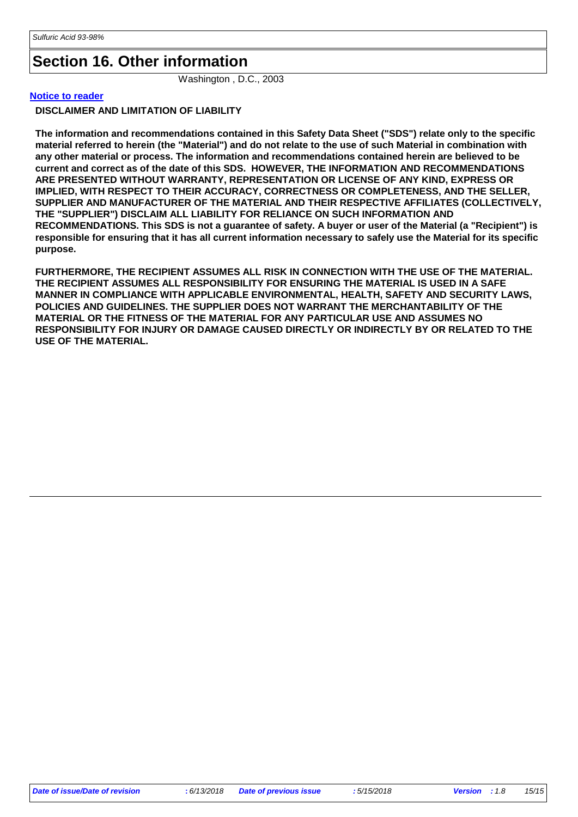### **Section 16. Other information**

Washington , D.C., 2003

#### **Notice to reader**

**DISCLAIMER AND LIMITATION OF LIABILITY**

**The information and recommendations contained in this Safety Data Sheet ("SDS") relate only to the specific material referred to herein (the "Material") and do not relate to the use of such Material in combination with any other material or process. The information and recommendations contained herein are believed to be current and correct as of the date of this SDS. HOWEVER, THE INFORMATION AND RECOMMENDATIONS ARE PRESENTED WITHOUT WARRANTY, REPRESENTATION OR LICENSE OF ANY KIND, EXPRESS OR IMPLIED, WITH RESPECT TO THEIR ACCURACY, CORRECTNESS OR COMPLETENESS, AND THE SELLER, SUPPLIER AND MANUFACTURER OF THE MATERIAL AND THEIR RESPECTIVE AFFILIATES (COLLECTIVELY, THE "SUPPLIER") DISCLAIM ALL LIABILITY FOR RELIANCE ON SUCH INFORMATION AND RECOMMENDATIONS. This SDS is not a guarantee of safety. A buyer or user of the Material (a "Recipient") is responsible for ensuring that it has all current information necessary to safely use the Material for its specific purpose.**

**FURTHERMORE, THE RECIPIENT ASSUMES ALL RISK IN CONNECTION WITH THE USE OF THE MATERIAL. THE RECIPIENT ASSUMES ALL RESPONSIBILITY FOR ENSURING THE MATERIAL IS USED IN A SAFE MANNER IN COMPLIANCE WITH APPLICABLE ENVIRONMENTAL, HEALTH, SAFETY AND SECURITY LAWS, POLICIES AND GUIDELINES. THE SUPPLIER DOES NOT WARRANT THE MERCHANTABILITY OF THE MATERIAL OR THE FITNESS OF THE MATERIAL FOR ANY PARTICULAR USE AND ASSUMES NO RESPONSIBILITY FOR INJURY OR DAMAGE CAUSED DIRECTLY OR INDIRECTLY BY OR RELATED TO THE USE OF THE MATERIAL.**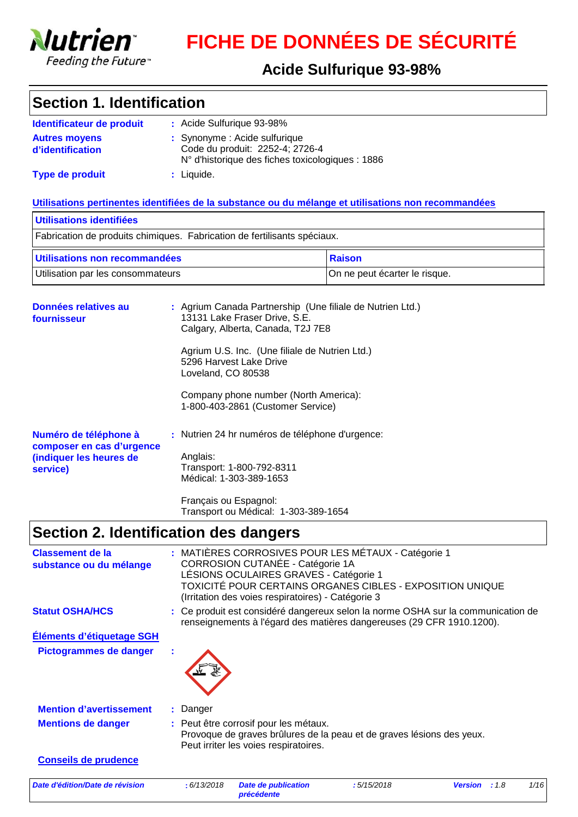

# **FICHE DE DONNÉES DE SÉCURITÉ**

### **Acide Sulfurique 93-98%**

### **Section 1. Identification**

| Identificateur de produit                | : Acide Sulfurique 93-98%                                                                                            |
|------------------------------------------|----------------------------------------------------------------------------------------------------------------------|
| <b>Autres movens</b><br>d'identification | : Synonyme : Acide sulfurique<br>Code du produit: 2252-4; 2726-4<br>N° d'historique des fiches toxicologiques : 1886 |
| <b>Type de produit</b>                   | : Liquide.                                                                                                           |

#### **Utilisations pertinentes identifiées de la substance ou du mélange et utilisations non recommandées**

| Utilisations identifiées                                                 |        |  |  |  |
|--------------------------------------------------------------------------|--------|--|--|--|
| Fabrication de produits chimiques. Fabrication de fertilisants spéciaux. |        |  |  |  |
| Utilisations non recommandées                                            | Raison |  |  |  |
|                                                                          |        |  |  |  |

| Données relatives au<br>fournisseur                              |  | : Agrium Canada Partnership (Une filiale de Nutrien Ltd.)<br>13131 Lake Fraser Drive, S.E.<br>Calgary, Alberta, Canada, T2J 7E8 |
|------------------------------------------------------------------|--|---------------------------------------------------------------------------------------------------------------------------------|
|                                                                  |  | Agrium U.S. Inc. (Une filiale de Nutrien Ltd.)<br>5296 Harvest Lake Drive<br>Loveland, CO 80538                                 |
|                                                                  |  | Company phone number (North America):<br>1-800-403-2861 (Customer Service)                                                      |
| Numéro de téléphone à                                            |  | : Nutrien 24 hr numéros de téléphone d'urgence:                                                                                 |
| composer en cas d'urgence<br>(indiquer les heures de<br>service) |  | Anglais:<br>Transport: 1-800-792-8311<br>Médical: 1-303-389-1653                                                                |
|                                                                  |  | Français ou Espagnol:                                                                                                           |

Transport ou Médical: 1-303-389-1654

## **Section 2. Identification des dangers**

| <b>Classement de la</b><br>substance ou du mélange |             | : MATIÈRES CORROSIVES POUR LES MÉTAUX - Catégorie 1<br>CORROSION CUTANÉE - Catégorie 1A<br>LÉSIONS OCULAIRES GRAVES - Catégorie 1<br>(Irritation des voies respiratoires) - Catégorie 3 |            | TOXICITÉ POUR CERTAINS ORGANES CIBLES - EXPOSITION UNIQUE                                                                                                 |      |      |
|----------------------------------------------------|-------------|-----------------------------------------------------------------------------------------------------------------------------------------------------------------------------------------|------------|-----------------------------------------------------------------------------------------------------------------------------------------------------------|------|------|
| <b>Statut OSHA/HCS</b>                             |             |                                                                                                                                                                                         |            | : Ce produit est considéré dangereux selon la norme OSHA sur la communication de<br>renseignements à l'égard des matières dangereuses (29 CFR 1910.1200). |      |      |
| Éléments d'étiquetage SGH                          |             |                                                                                                                                                                                         |            |                                                                                                                                                           |      |      |
| Pictogrammes de danger                             |             |                                                                                                                                                                                         |            |                                                                                                                                                           |      |      |
| <b>Mention d'avertissement</b>                     | : Danger    |                                                                                                                                                                                         |            |                                                                                                                                                           |      |      |
| <b>Mentions de danger</b>                          |             | : Peut être corrosif pour les métaux.<br>Peut irriter les voies respiratoires.                                                                                                          |            | Provoque de graves brûlures de la peau et de graves lésions des yeux.                                                                                     |      |      |
| <b>Conseils de prudence</b>                        |             |                                                                                                                                                                                         |            |                                                                                                                                                           |      |      |
| Date d'édition/Date de révision                    | : 6/13/2018 | Date de publication                                                                                                                                                                     | :5/15/2018 | <b>Version</b>                                                                                                                                            | :1.8 | 1/16 |

*précédente*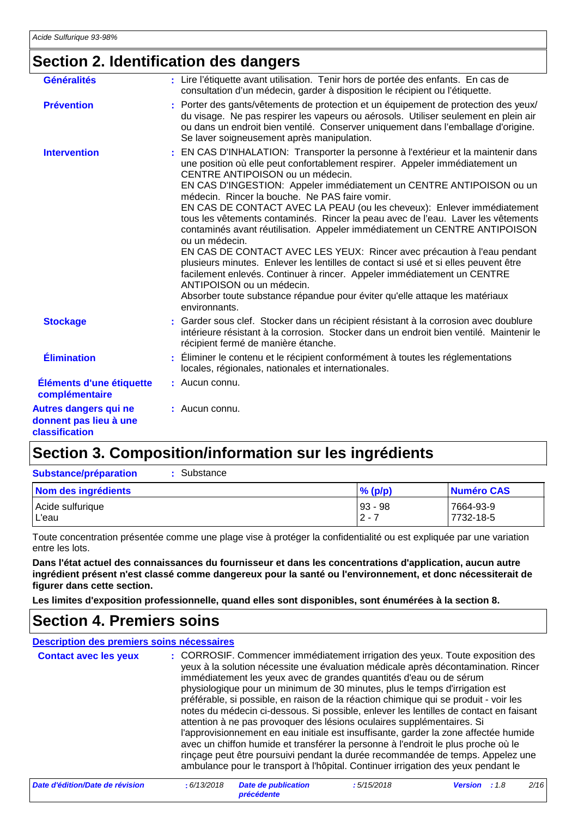### **Section 2. Identification des dangers**

| <b>Généralités</b>                                                       | : Lire l'étiquette avant utilisation. Tenir hors de portée des enfants. En cas de<br>consultation d'un médecin, garder à disposition le récipient ou l'étiquette.                                                                                                                                                                                                                                                                                                                                                                                                                                                                                                                                                                                                                                                                                                                                                                                                     |
|--------------------------------------------------------------------------|-----------------------------------------------------------------------------------------------------------------------------------------------------------------------------------------------------------------------------------------------------------------------------------------------------------------------------------------------------------------------------------------------------------------------------------------------------------------------------------------------------------------------------------------------------------------------------------------------------------------------------------------------------------------------------------------------------------------------------------------------------------------------------------------------------------------------------------------------------------------------------------------------------------------------------------------------------------------------|
| <b>Prévention</b>                                                        | : Porter des gants/vêtements de protection et un équipement de protection des yeux/<br>du visage. Ne pas respirer les vapeurs ou aérosols. Utiliser seulement en plein air<br>ou dans un endroit bien ventilé. Conserver uniquement dans l'emballage d'origine.<br>Se laver soigneusement après manipulation.                                                                                                                                                                                                                                                                                                                                                                                                                                                                                                                                                                                                                                                         |
| <b>Intervention</b>                                                      | EN CAS D'INHALATION: Transporter la personne à l'extérieur et la maintenir dans<br>une position où elle peut confortablement respirer. Appeler immédiatement un<br>CENTRE ANTIPOISON ou un médecin.<br>EN CAS D'INGESTION: Appeler immédiatement un CENTRE ANTIPOISON ou un<br>médecin. Rincer la bouche. Ne PAS faire vomir.<br>EN CAS DE CONTACT AVEC LA PEAU (ou les cheveux): Enlever immédiatement<br>tous les vêtements contaminés. Rincer la peau avec de l'eau. Laver les vêtements<br>contaminés avant réutilisation. Appeler immédiatement un CENTRE ANTIPOISON<br>ou un médecin.<br>EN CAS DE CONTACT AVEC LES YEUX: Rincer avec précaution à l'eau pendant<br>plusieurs minutes. Enlever les lentilles de contact si usé et si elles peuvent être<br>facilement enlevés. Continuer à rincer. Appeler immédiatement un CENTRE<br>ANTIPOISON ou un médecin.<br>Absorber toute substance répandue pour éviter qu'elle attaque les matériaux<br>environnants. |
| <b>Stockage</b>                                                          | : Garder sous clef. Stocker dans un récipient résistant à la corrosion avec doublure<br>intérieure résistant à la corrosion. Stocker dans un endroit bien ventilé. Maintenir le<br>récipient fermé de manière étanche.                                                                                                                                                                                                                                                                                                                                                                                                                                                                                                                                                                                                                                                                                                                                                |
| <b>Élimination</b>                                                       | Éliminer le contenu et le récipient conformément à toutes les réglementations<br>locales, régionales, nationales et internationales.                                                                                                                                                                                                                                                                                                                                                                                                                                                                                                                                                                                                                                                                                                                                                                                                                                  |
| Éléments d'une étiquette<br>complémentaire                               | $:$ Aucun connu.                                                                                                                                                                                                                                                                                                                                                                                                                                                                                                                                                                                                                                                                                                                                                                                                                                                                                                                                                      |
| <b>Autres dangers qui ne</b><br>donnent pas lieu à une<br>classification | $:$ Aucun connu.                                                                                                                                                                                                                                                                                                                                                                                                                                                                                                                                                                                                                                                                                                                                                                                                                                                                                                                                                      |

### **Section 3. Composition/information sur les ingrédients**

| Substance<br><b>Substance/préparation</b> |                      |                        |
|-------------------------------------------|----------------------|------------------------|
| Nom des ingrédients                       | $%$ (p/p)            | <b>Numéro CAS</b>      |
| Acide sulfurique<br>∟'eau                 | $93 - 98$<br>$2 - 7$ | 7664-93-9<br>7732-18-5 |

Toute concentration présentée comme une plage vise à protéger la confidentialité ou est expliquée par une variation entre les lots.

**Dans l'état actuel des connaissances du fournisseur et dans les concentrations d'application, aucun autre ingrédient présent n'est classé comme dangereux pour la santé ou l'environnement, et donc nécessiterait de figurer dans cette section.**

**Les limites d'exposition professionnelle, quand elles sont disponibles, sont énumérées à la section 8.**

### **Section 4. Premiers soins**

| Description des premiers soins nécessaires |             |                                                                                                                                                                                                                             |            |                                                                                                                                                                                                                                                                                                                                                                                                                                                                                                                                                                                                                                                                                                          |      |
|--------------------------------------------|-------------|-----------------------------------------------------------------------------------------------------------------------------------------------------------------------------------------------------------------------------|------------|----------------------------------------------------------------------------------------------------------------------------------------------------------------------------------------------------------------------------------------------------------------------------------------------------------------------------------------------------------------------------------------------------------------------------------------------------------------------------------------------------------------------------------------------------------------------------------------------------------------------------------------------------------------------------------------------------------|------|
| <b>Contact avec les yeux</b>               |             | immédiatement les yeux avec de grandes quantités d'eau ou de sérum<br>physiologique pour un minimum de 30 minutes, plus le temps d'irrigation est<br>attention à ne pas provoquer des lésions oculaires supplémentaires. Si |            | : CORROSIF. Commencer immédiatement irrigation des yeux. Toute exposition des<br>yeux à la solution nécessite une évaluation médicale après décontamination. Rincer<br>préférable, si possible, en raison de la réaction chimique qui se produit - voir les<br>notes du médecin ci-dessous. Si possible, enlever les lentilles de contact en faisant<br>l'approvisionnement en eau initiale est insuffisante, garder la zone affectée humide<br>avec un chiffon humide et transférer la personne à l'endroit le plus proche où le<br>rinçage peut être poursuivi pendant la durée recommandée de temps. Appelez une<br>ambulance pour le transport à l'hôpital. Continuer irrigation des yeux pendant le |      |
| Date d'édition/Date de révision            | : 6/13/2018 | <b>Date de publication</b>                                                                                                                                                                                                  | :5/15/2018 | <b>Version</b><br>:1.8                                                                                                                                                                                                                                                                                                                                                                                                                                                                                                                                                                                                                                                                                   | 2/16 |

*précédente*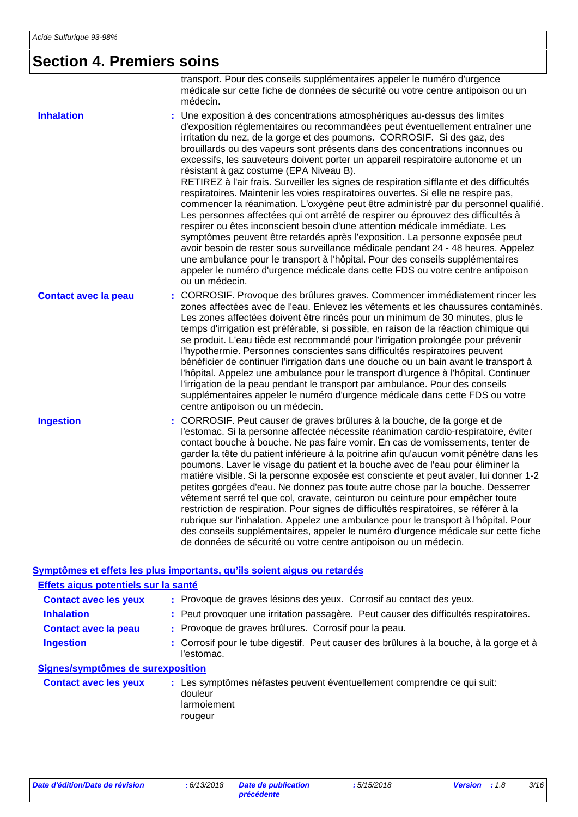### **Section 4. Premiers soins**

CORROSIF. Peut causer de graves brûlures à la bouche, de la gorge et de l'estomac. Si la personne affectée nécessite réanimation cardio-respiratoire, éviter contact bouche à bouche. Ne pas faire vomir. En cas de vomissements, tenter de garder la tête du patient inférieure à la poitrine afin qu'aucun vomit pénètre dans les poumons. Laver le visage du patient et la bouche avec de l'eau pour éliminer la matière visible. Si la personne exposée est consciente et peut avaler, lui donner 1-2 petites gorgées d'eau. Ne donnez pas toute autre chose par la bouche. Desserrer vêtement serré tel que col, cravate, ceinturon ou ceinture pour empêcher toute restriction de respiration. Pour signes de difficultés respiratoires, se référer à la rubrique sur l'inhalation. Appelez une ambulance pour le transport à l'hôpital. Pour des conseils supplémentaires, appeler le numéro d'urgence médicale sur cette fiche de données de sécurité ou votre centre antipoison ou un médecin. transport. Pour des conseils supplémentaires appeler le numéro d'urgence médicale sur cette fiche de données de sécurité ou votre centre antipoison ou un médecin. CORROSIF. Provoque des brûlures graves. Commencer immédiatement rincer les zones affectées avec de l'eau. Enlevez les vêtements et les chaussures contaminés. Les zones affectées doivent être rincés pour un minimum de 30 minutes, plus le temps d'irrigation est préférable, si possible, en raison de la réaction chimique qui se produit. L'eau tiède est recommandé pour l'irrigation prolongée pour prévenir l'hypothermie. Personnes conscientes sans difficultés respiratoires peuvent bénéficier de continuer l'irrigation dans une douche ou un bain avant le transport à l'hôpital. Appelez une ambulance pour le transport d'urgence à l'hôpital. Continuer l'irrigation de la peau pendant le transport par ambulance. Pour des conseils supplémentaires appeler le numéro d'urgence médicale dans cette FDS ou votre centre antipoison ou un médecin. Une exposition à des concentrations atmosphériques au-dessus des limites **:** d'exposition réglementaires ou recommandées peut éventuellement entraîner une irritation du nez, de la gorge et des poumons. CORROSIF. Si des gaz, des brouillards ou des vapeurs sont présents dans des concentrations inconnues ou excessifs, les sauveteurs doivent porter un appareil respiratoire autonome et un résistant à gaz costume (EPA Niveau B). RETIREZ à l'air frais. Surveiller les signes de respiration sifflante et des difficultés respiratoires. Maintenir les voies respiratoires ouvertes. Si elle ne respire pas, commencer la réanimation. L'oxygène peut être administré par du personnel qualifié. Les personnes affectées qui ont arrêté de respirer ou éprouvez des difficultés à respirer ou êtes inconscient besoin d'une attention médicale immédiate. Les symptômes peuvent être retardés après l'exposition. La personne exposée peut avoir besoin de rester sous surveillance médicale pendant 24 - 48 heures. Appelez une ambulance pour le transport à l'hôpital. Pour des conseils supplémentaires appeler le numéro d'urgence médicale dans cette FDS ou votre centre antipoison ou un médecin. **Contact avec la peau Inhalation Ingestion : :**

#### **Symptômes et effets les plus importants, qu'ils soient aigus ou retardés**

| Effets aigus potentiels sur la santé |                                                                                                              |
|--------------------------------------|--------------------------------------------------------------------------------------------------------------|
| <b>Contact avec les yeux</b>         | : Provoque de graves lésions des yeux. Corrosif au contact des yeux.                                         |
| <b>Inhalation</b>                    | : Peut provoquer une irritation passagère. Peut causer des difficultés respiratoires.                        |
| <b>Contact avec la peau</b>          | : Provoque de graves brûlures. Corrosif pour la peau.                                                        |
| <b>Ingestion</b>                     | : Corrosif pour le tube digestif. Peut causer des brûlures à la bouche, à la gorge et à<br>l'estomac.        |
| Signes/symptômes de surexposition    |                                                                                                              |
| <b>Contact avec les yeux</b>         | : Les symptômes néfastes peuvent éventuellement comprendre ce qui suit:<br>douleur<br>larmoiement<br>rougeur |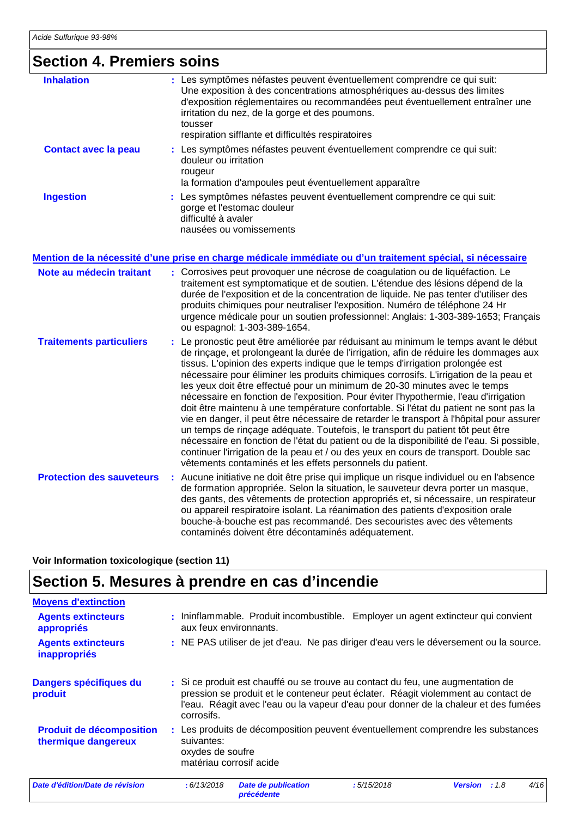### **Section 4. Premiers soins**

| CONON TI LONNO JOHN              |    |                                                                                                                                                                                                                                                                                                                                                                                                                                                                                                                                                                                                                                                                                                                                                                                                                                                                                                                                                                                                                                                        |
|----------------------------------|----|--------------------------------------------------------------------------------------------------------------------------------------------------------------------------------------------------------------------------------------------------------------------------------------------------------------------------------------------------------------------------------------------------------------------------------------------------------------------------------------------------------------------------------------------------------------------------------------------------------------------------------------------------------------------------------------------------------------------------------------------------------------------------------------------------------------------------------------------------------------------------------------------------------------------------------------------------------------------------------------------------------------------------------------------------------|
| <b>Inhalation</b>                |    | : Les symptômes néfastes peuvent éventuellement comprendre ce qui suit:<br>Une exposition à des concentrations atmosphériques au-dessus des limites<br>d'exposition réglementaires ou recommandées peut éventuellement entraîner une<br>irritation du nez, de la gorge et des poumons.<br>tousser<br>respiration sifflante et difficultés respiratoires                                                                                                                                                                                                                                                                                                                                                                                                                                                                                                                                                                                                                                                                                                |
| <b>Contact avec la peau</b>      |    | : Les symptômes néfastes peuvent éventuellement comprendre ce qui suit:<br>douleur ou irritation<br>rougeur<br>la formation d'ampoules peut éventuellement apparaître                                                                                                                                                                                                                                                                                                                                                                                                                                                                                                                                                                                                                                                                                                                                                                                                                                                                                  |
| <b>Ingestion</b>                 |    | : Les symptômes néfastes peuvent éventuellement comprendre ce qui suit:<br>gorge et l'estomac douleur<br>difficulté à avaler<br>nausées ou vomissements<br>Mention de la nécessité d'une prise en charge médicale immédiate ou d'un traitement spécial, si nécessaire                                                                                                                                                                                                                                                                                                                                                                                                                                                                                                                                                                                                                                                                                                                                                                                  |
| Note au médecin traitant         |    | : Corrosives peut provoquer une nécrose de coagulation ou de liquéfaction. Le<br>traitement est symptomatique et de soutien. L'étendue des lésions dépend de la<br>durée de l'exposition et de la concentration de liquide. Ne pas tenter d'utiliser des<br>produits chimiques pour neutraliser l'exposition. Numéro de téléphone 24 Hr<br>urgence médicale pour un soutien professionnel: Anglais: 1-303-389-1653; Français<br>ou espagnol: 1-303-389-1654.                                                                                                                                                                                                                                                                                                                                                                                                                                                                                                                                                                                           |
| <b>Traitements particuliers</b>  |    | : Le pronostic peut être améliorée par réduisant au minimum le temps avant le début<br>de rinçage, et prolongeant la durée de l'irrigation, afin de réduire les dommages aux<br>tissus. L'opinion des experts indique que le temps d'irrigation prolongée est<br>nécessaire pour éliminer les produits chimiques corrosifs. L'irrigation de la peau et<br>les yeux doit être effectué pour un minimum de 20-30 minutes avec le temps<br>nécessaire en fonction de l'exposition. Pour éviter l'hypothermie, l'eau d'irrigation<br>doit être maintenu à une température confortable. Si l'état du patient ne sont pas la<br>vie en danger, il peut être nécessaire de retarder le transport à l'hôpital pour assurer<br>un temps de rinçage adéquate. Toutefois, le transport du patient tôt peut être<br>nécessaire en fonction de l'état du patient ou de la disponibilité de l'eau. Si possible,<br>continuer l'irrigation de la peau et / ou des yeux en cours de transport. Double sac<br>vêtements contaminés et les effets personnels du patient. |
| <b>Protection des sauveteurs</b> | ÷, | Aucune initiative ne doit être prise qui implique un risque individuel ou en l'absence<br>de formation appropriée. Selon la situation, le sauveteur devra porter un masque,<br>des gants, des vêtements de protection appropriés et, si nécessaire, un respirateur<br>ou appareil respiratoire isolant. La réanimation des patients d'exposition orale<br>bouche-à-bouche est pas recommandé. Des secouristes avec des vêtements<br>contaminés doivent être décontaminés adéquatement.                                                                                                                                                                                                                                                                                                                                                                                                                                                                                                                                                                 |

**Voir Information toxicologique (section 11)**

## **Section 5. Mesures à prendre en cas d'incendie**

| <b>Moyens d'extinction</b>                             |                                                                                                                                                                                                                                                                           |
|--------------------------------------------------------|---------------------------------------------------------------------------------------------------------------------------------------------------------------------------------------------------------------------------------------------------------------------------|
| <b>Agents extincteurs</b><br>appropriés                | : Ininflammable. Produit incombustible. Employer un agent extincteur qui convient<br>aux feux environnants.                                                                                                                                                               |
| <b>Agents extincteurs</b><br>inappropriés              | : NE PAS utiliser de jet d'eau. Ne pas diriger d'eau vers le déversement ou la source.                                                                                                                                                                                    |
| Dangers spécifiques du<br>produit                      | : Si ce produit est chauffé ou se trouve au contact du feu, une augmentation de<br>pression se produit et le conteneur peut éclater. Réagit violemment au contact de<br>l'eau. Réagit avec l'eau ou la vapeur d'eau pour donner de la chaleur et des fumées<br>corrosifs. |
| <b>Produit de décomposition</b><br>thermique dangereux | : Les produits de décomposition peuvent éventuellement comprendre les substances<br>suivantes:<br>oxydes de soufre<br>matériau corrosif acide                                                                                                                             |
| Date d'édition/Date de révision                        | 4/16<br>: 6/13/2018<br><b>Date de publication</b><br>:5/15/2018<br><b>Version</b><br>: 1.8<br>précédente                                                                                                                                                                  |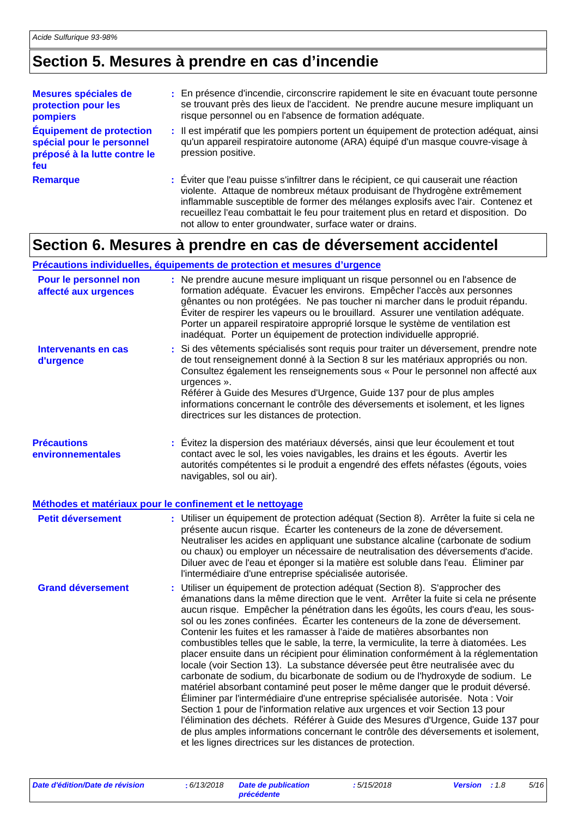## **Section 5. Mesures à prendre en cas d'incendie**

| Mesures spéciales de<br>protection pour les<br>pompiers                                             | : En présence d'incendie, circonscrire rapidement le site en évacuant toute personne<br>se trouvant près des lieux de l'accident. Ne prendre aucune mesure impliquant un<br>risque personnel ou en l'absence de formation adéquate.                                                                                                                                                                          |
|-----------------------------------------------------------------------------------------------------|--------------------------------------------------------------------------------------------------------------------------------------------------------------------------------------------------------------------------------------------------------------------------------------------------------------------------------------------------------------------------------------------------------------|
| <b>Équipement de protection</b><br>spécial pour le personnel<br>préposé à la lutte contre le<br>feu | : Il est impératif que les pompiers portent un équipement de protection adéquat, ainsi<br>qu'un appareil respiratoire autonome (ARA) équipé d'un masque couvre-visage à<br>pression positive.                                                                                                                                                                                                                |
| <b>Remarque</b>                                                                                     | : Éviter que l'eau puisse s'infiltrer dans le récipient, ce qui causerait une réaction<br>violente. Attaque de nombreux métaux produisant de l'hydrogène extrêmement<br>inflammable susceptible de former des mélanges explosifs avec l'air. Contenez et<br>recueillez l'eau combattait le feu pour traitement plus en retard et disposition. Do<br>not allow to enter groundwater, surface water or drains. |

### **Section 6. Mesures à prendre en cas de déversement accidentel**

#### **Précautions individuelles, équipements de protection et mesures d'urgence**

| Pour le personnel non<br>affecté aux urgences | : Ne prendre aucune mesure impliquant un risque personnel ou en l'absence de<br>formation adéquate. Évacuer les environs. Empêcher l'accès aux personnes<br>gênantes ou non protégées. Ne pas toucher ni marcher dans le produit répandu.<br>Éviter de respirer les vapeurs ou le brouillard. Assurer une ventilation adéquate.<br>Porter un appareil respiratoire approprié lorsque le système de ventilation est<br>inadéquat. Porter un équipement de protection individuelle approprié.                                                                                                                                                                                                                                                                                                                                                                                                                                                                                                                                                                                                                                                                                                                                                                         |
|-----------------------------------------------|---------------------------------------------------------------------------------------------------------------------------------------------------------------------------------------------------------------------------------------------------------------------------------------------------------------------------------------------------------------------------------------------------------------------------------------------------------------------------------------------------------------------------------------------------------------------------------------------------------------------------------------------------------------------------------------------------------------------------------------------------------------------------------------------------------------------------------------------------------------------------------------------------------------------------------------------------------------------------------------------------------------------------------------------------------------------------------------------------------------------------------------------------------------------------------------------------------------------------------------------------------------------|
| Intervenants en cas<br>d'urgence              | Si des vêtements spécialisés sont requis pour traiter un déversement, prendre note<br>de tout renseignement donné à la Section 8 sur les matériaux appropriés ou non.<br>Consultez également les renseignements sous « Pour le personnel non affecté aux<br>urgences ».<br>Référer à Guide des Mesures d'Urgence, Guide 137 pour de plus amples<br>informations concernant le contrôle des déversements et isolement, et les lignes<br>directrices sur les distances de protection.                                                                                                                                                                                                                                                                                                                                                                                                                                                                                                                                                                                                                                                                                                                                                                                 |
| <b>Précautions</b><br>environnementales       | : Évitez la dispersion des matériaux déversés, ainsi que leur écoulement et tout<br>contact avec le sol, les voies navigables, les drains et les égouts. Avertir les<br>autorités compétentes si le produit a engendré des effets néfastes (égouts, voies<br>navigables, sol ou air).                                                                                                                                                                                                                                                                                                                                                                                                                                                                                                                                                                                                                                                                                                                                                                                                                                                                                                                                                                               |
|                                               | Méthodes et matériaux pour le confinement et le nettoyage                                                                                                                                                                                                                                                                                                                                                                                                                                                                                                                                                                                                                                                                                                                                                                                                                                                                                                                                                                                                                                                                                                                                                                                                           |
| Petit déversement                             | : Utiliser un équipement de protection adéquat (Section 8). Arrêter la fuite si cela ne<br>présente aucun risque. Écarter les conteneurs de la zone de déversement.<br>Neutraliser les acides en appliquant une substance alcaline (carbonate de sodium<br>ou chaux) ou employer un nécessaire de neutralisation des déversements d'acide.<br>Diluer avec de l'eau et éponger si la matière est soluble dans l'eau. Éliminer par<br>l'intermédiaire d'une entreprise spécialisée autorisée.                                                                                                                                                                                                                                                                                                                                                                                                                                                                                                                                                                                                                                                                                                                                                                         |
| <b>Grand déversement</b>                      | : Utiliser un équipement de protection adéquat (Section 8). S'approcher des<br>émanations dans la même direction que le vent. Arrêter la fuite si cela ne présente<br>aucun risque. Empêcher la pénétration dans les égoûts, les cours d'eau, les sous-<br>sol ou les zones confinées. Écarter les conteneurs de la zone de déversement.<br>Contenir les fuites et les ramasser à l'aide de matières absorbantes non<br>combustibles telles que le sable, la terre, la vermiculite, la terre à diatomées. Les<br>placer ensuite dans un récipient pour élimination conformément à la réglementation<br>locale (voir Section 13). La substance déversée peut être neutralisée avec du<br>carbonate de sodium, du bicarbonate de sodium ou de l'hydroxyde de sodium. Le<br>matériel absorbant contaminé peut poser le même danger que le produit déversé.<br>Éliminer par l'intermédiaire d'une entreprise spécialisée autorisée. Nota : Voir<br>Section 1 pour de l'information relative aux urgences et voir Section 13 pour<br>l'élimination des déchets. Référer à Guide des Mesures d'Urgence, Guide 137 pour<br>de plus amples informations concernant le contrôle des déversements et isolement,<br>et les lignes directrices sur les distances de protection. |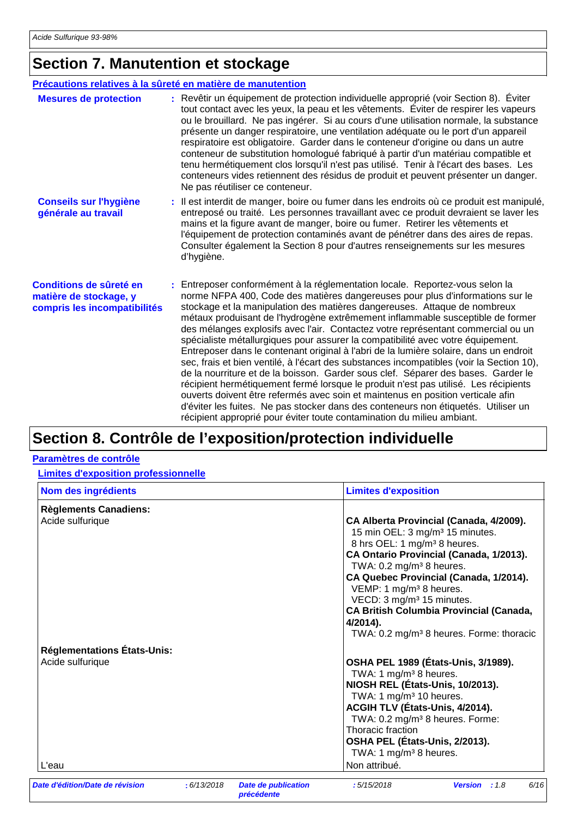### **Section 7. Manutention et stockage**

#### **Conseils sur l'hygiène générale au travail Conditions de sûreté en matière de stockage, y compris les incompatibilités** Il est interdit de manger, boire ou fumer dans les endroits où ce produit est manipulé, **:** entreposé ou traité. Les personnes travaillant avec ce produit devraient se laver les mains et la figure avant de manger, boire ou fumer. Retirer les vêtements et l'équipement de protection contaminés avant de pénétrer dans des aires de repas. Consulter également la Section 8 pour d'autres renseignements sur les mesures d'hygiène. Entreposer conformément à la réglementation locale. Reportez-vous selon la **:** norme NFPA 400, Code des matières dangereuses pour plus d'informations sur le stockage et la manipulation des matières dangereuses. Attaque de nombreux métaux produisant de l'hydrogène extrêmement inflammable susceptible de former des mélanges explosifs avec l'air. Contactez votre représentant commercial ou un spécialiste métallurgiques pour assurer la compatibilité avec votre équipement. Entreposer dans le contenant original à l'abri de la lumière solaire, dans un endroit sec, frais et bien ventilé, à l'écart des substances incompatibles (voir la Section 10), de la nourriture et de la boisson. Garder sous clef. Séparer des bases. Garder le récipient hermétiquement fermé lorsque le produit n'est pas utilisé. Les récipients ouverts doivent être refermés avec soin et maintenus en position verticale afin d'éviter les fuites. Ne pas stocker dans des conteneurs non étiquetés. Utiliser un récipient approprié pour éviter toute contamination du milieu ambiant. **Mesures de protection :** Revêtir un équipement de protection individuelle approprié (voir Section 8). Éviter tout contact avec les yeux, la peau et les vêtements. Éviter de respirer les vapeurs ou le brouillard. Ne pas ingérer. Si au cours d'une utilisation normale, la substance présente un danger respiratoire, une ventilation adéquate ou le port d'un appareil respiratoire est obligatoire. Garder dans le conteneur d'origine ou dans un autre conteneur de substitution homologué fabriqué à partir d'un matériau compatible et tenu hermétiquement clos lorsqu'il n'est pas utilisé. Tenir à l'écart des bases. Les conteneurs vides retiennent des résidus de produit et peuvent présenter un danger. Ne pas réutiliser ce conteneur. **Précautions relatives à la sûreté en matière de manutention**

### **Section 8. Contrôle de l'exposition/protection individuelle**

#### **Paramètres de contrôle**

#### **Limites d'exposition professionnelle**

| Nom des ingrédients                | <b>Limites d'exposition</b>                                                   |
|------------------------------------|-------------------------------------------------------------------------------|
| <b>Règlements Canadiens:</b>       |                                                                               |
| Acide sulfurique                   | CA Alberta Provincial (Canada, 4/2009).                                       |
|                                    | 15 min OEL: 3 mg/m <sup>3</sup> 15 minutes.                                   |
|                                    | 8 hrs OEL: 1 mg/m <sup>3</sup> 8 heures.                                      |
|                                    | CA Ontario Provincial (Canada, 1/2013).                                       |
|                                    | TWA: $0.2 \text{ mg/m}^3$ 8 heures.                                           |
|                                    | CA Quebec Provincial (Canada, 1/2014).<br>VEMP: 1 mg/m <sup>3</sup> 8 heures. |
|                                    | VECD: 3 mg/m <sup>3</sup> 15 minutes.                                         |
|                                    | <b>CA British Columbia Provincial (Canada,</b>                                |
|                                    | 4/2014).                                                                      |
|                                    | TWA: 0.2 mg/m <sup>3</sup> 8 heures. Forme: thoracic                          |
| <b>Réglementations États-Unis:</b> |                                                                               |
| Acide sulfurique                   | OSHA PEL 1989 (États-Unis, 3/1989).                                           |
|                                    | TWA: 1 mg/m <sup>3</sup> 8 heures.                                            |
|                                    | NIOSH REL (États-Unis, 10/2013).                                              |
|                                    | TWA: 1 $mg/m3$ 10 heures.                                                     |
|                                    | ACGIH TLV (États-Unis, 4/2014).                                               |
|                                    | TWA: 0.2 mg/m <sup>3</sup> 8 heures. Forme:<br>Thoracic fraction              |
|                                    | OSHA PEL (États-Unis, 2/2013).                                                |
|                                    | TWA: 1 mg/m <sup>3</sup> 8 heures.                                            |
| L'eau                              | Non attribué.                                                                 |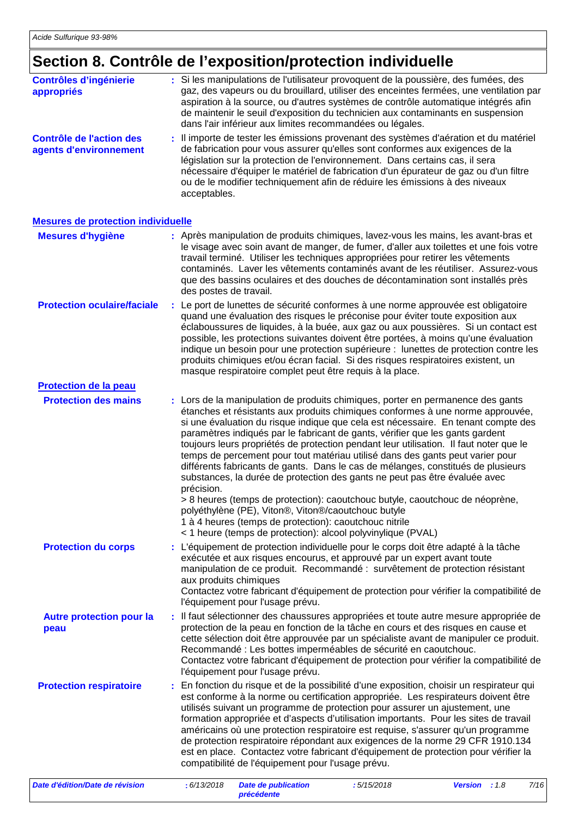### **Section 8. Contrôle de l'exposition/protection individuelle**

| <b>Contrôles d'ingénierie</b><br>appropriés               |    | : Si les manipulations de l'utilisateur provoquent de la poussière, des fumées, des<br>gaz, des vapeurs ou du brouillard, utiliser des enceintes fermées, une ventilation par<br>aspiration à la source, ou d'autres systèmes de contrôle automatique intégrés afin<br>de maintenir le seuil d'exposition du technicien aux contaminants en suspension<br>dans l'air inférieur aux limites recommandées ou légales.                                                                                                                                                                                                                                                                                |
|-----------------------------------------------------------|----|----------------------------------------------------------------------------------------------------------------------------------------------------------------------------------------------------------------------------------------------------------------------------------------------------------------------------------------------------------------------------------------------------------------------------------------------------------------------------------------------------------------------------------------------------------------------------------------------------------------------------------------------------------------------------------------------------|
| <b>Contrôle de l'action des</b><br>agents d'environnement |    | : Il importe de tester les émissions provenant des systèmes d'aération et du matériel<br>de fabrication pour vous assurer qu'elles sont conformes aux exigences de la<br>législation sur la protection de l'environnement. Dans certains cas, il sera<br>nécessaire d'équiper le matériel de fabrication d'un épurateur de gaz ou d'un filtre<br>ou de le modifier techniquement afin de réduire les émissions à des niveaux<br>acceptables.                                                                                                                                                                                                                                                       |
| <b>Mesures de protection individuelle</b>                 |    |                                                                                                                                                                                                                                                                                                                                                                                                                                                                                                                                                                                                                                                                                                    |
| <b>Mesures d'hygiène</b>                                  |    | : Après manipulation de produits chimiques, lavez-vous les mains, les avant-bras et<br>le visage avec soin avant de manger, de fumer, d'aller aux toilettes et une fois votre<br>travail terminé. Utiliser les techniques appropriées pour retirer les vêtements<br>contaminés. Laver les vêtements contaminés avant de les réutiliser. Assurez-vous<br>que des bassins oculaires et des douches de décontamination sont installés près<br>des postes de travail.                                                                                                                                                                                                                                  |
| <b>Protection oculaire/faciale</b>                        | ÷. | Le port de lunettes de sécurité conformes à une norme approuvée est obligatoire<br>quand une évaluation des risques le préconise pour éviter toute exposition aux<br>éclaboussures de liquides, à la buée, aux gaz ou aux poussières. Si un contact est<br>possible, les protections suivantes doivent être portées, à moins qu'une évaluation<br>indique un besoin pour une protection supérieure : lunettes de protection contre les<br>produits chimiques et/ou écran facial. Si des risques respiratoires existent, un<br>masque respiratoire complet peut être requis à la place.                                                                                                             |
| <b>Protection de la peau</b>                              |    |                                                                                                                                                                                                                                                                                                                                                                                                                                                                                                                                                                                                                                                                                                    |
| <b>Protection des mains</b>                               |    | : Lors de la manipulation de produits chimiques, porter en permanence des gants<br>étanches et résistants aux produits chimiques conformes à une norme approuvée,<br>si une évaluation du risque indique que cela est nécessaire. En tenant compte des<br>paramètres indiqués par le fabricant de gants, vérifier que les gants gardent<br>toujours leurs propriétés de protection pendant leur utilisation. Il faut noter que le<br>temps de percement pour tout matériau utilisé dans des gants peut varier pour<br>différents fabricants de gants. Dans le cas de mélanges, constitués de plusieurs<br>substances, la durée de protection des gants ne peut pas être évaluée avec<br>précision. |
|                                                           |    | > 8 heures (temps de protection): caoutchouc butyle, caoutchouc de néoprène,<br>polyéthylène (PE), Viton®, Viton®/caoutchouc butyle<br>1 à 4 heures (temps de protection): caoutchouc nitrile<br>< 1 heure (temps de protection): alcool polyvinylique (PVAL)                                                                                                                                                                                                                                                                                                                                                                                                                                      |
| <b>Protection du corps</b>                                |    | : L'équipement de protection individuelle pour le corps doit être adapté à la tâche<br>exécutée et aux risques encourus, et approuvé par un expert avant toute<br>manipulation de ce produit. Recommandé : survêtement de protection résistant<br>aux produits chimiques<br>Contactez votre fabricant d'équipement de protection pour vérifier la compatibilité de<br>l'équipement pour l'usage prévu.                                                                                                                                                                                                                                                                                             |
| <b>Autre protection pour la</b><br>peau                   |    | Il faut sélectionner des chaussures appropriées et toute autre mesure appropriée de<br>protection de la peau en fonction de la tâche en cours et des risques en cause et<br>cette sélection doit être approuvée par un spécialiste avant de manipuler ce produit.<br>Recommandé : Les bottes imperméables de sécurité en caoutchouc.<br>Contactez votre fabricant d'équipement de protection pour vérifier la compatibilité de<br>l'équipement pour l'usage prévu.                                                                                                                                                                                                                                 |
| <b>Protection respiratoire</b>                            |    | En fonction du risque et de la possibilité d'une exposition, choisir un respirateur qui<br>est conforme à la norme ou certification appropriée. Les respirateurs doivent être<br>utilisés suivant un programme de protection pour assurer un ajustement, une<br>formation appropriée et d'aspects d'utilisation importants. Pour les sites de travail<br>américains où une protection respiratoire est requise, s'assurer qu'un programme<br>de protection respiratoire répondant aux exigences de la norme 29 CFR 1910.134<br>est en place. Contactez votre fabricant d'équipement de protection pour vérifier la<br>compatibilité de l'équipement pour l'usage prévu.                            |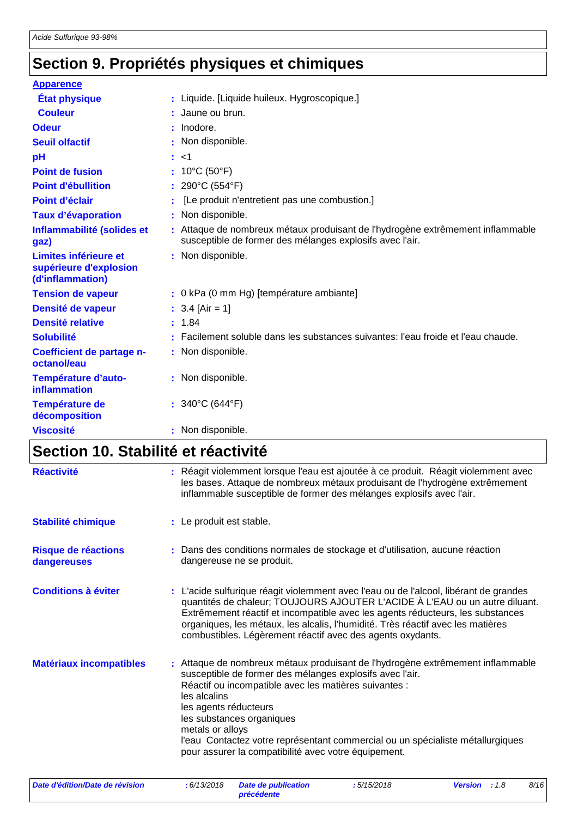## **Section 9. Propriétés physiques et chimiques**

| <b>Apparence</b>                                                    |                                                                                                                                            |
|---------------------------------------------------------------------|--------------------------------------------------------------------------------------------------------------------------------------------|
| <b>État physique</b>                                                | : Liquide. [Liquide huileux. Hygroscopique.]                                                                                               |
| <b>Couleur</b>                                                      | : Jaune ou brun.                                                                                                                           |
| <b>Odeur</b>                                                        | : Inodore.                                                                                                                                 |
| <b>Seuil olfactif</b>                                               | : Non disponible.                                                                                                                          |
| pH                                                                  | : <1                                                                                                                                       |
| <b>Point de fusion</b>                                              | : 10°C (50°F)                                                                                                                              |
| <b>Point d'ébullition</b>                                           | : 290°C (554°F)                                                                                                                            |
| Point d'éclair                                                      | [Le produit n'entretient pas une combustion.]                                                                                              |
| <b>Taux d'évaporation</b>                                           | : Non disponible.                                                                                                                          |
| Inflammabilité (solides et<br>gaz)                                  | : Attaque de nombreux métaux produisant de l'hydrogène extrêmement inflammable<br>susceptible de former des mélanges explosifs avec l'air. |
| Limites inférieure et<br>supérieure d'explosion<br>(d'inflammation) | : Non disponible.                                                                                                                          |
| <b>Tension de vapeur</b>                                            | : 0 kPa (0 mm Hg) [température ambiante]                                                                                                   |
| Densité de vapeur                                                   | $: 3.4$ [Air = 1]                                                                                                                          |
| <b>Densité relative</b>                                             | : 1.84                                                                                                                                     |
| <b>Solubilité</b>                                                   | Facilement soluble dans les substances suivantes: l'eau froide et l'eau chaude.                                                            |
| Coefficient de partage n-<br>octanol/eau                            | : Non disponible.                                                                                                                          |
| Température d'auto-<br>inflammation                                 | : Non disponible.                                                                                                                          |
| Température de<br>décomposition                                     | : $340^{\circ}$ C (644 $^{\circ}$ F)                                                                                                       |
| <b>Viscosité</b>                                                    | : Non disponible.                                                                                                                          |

## **Section 10. Stabilité et réactivité**

| <b>Réactivité</b>                         | : Réagit violemment lorsque l'eau est ajoutée à ce produit. Réagit violemment avec<br>les bases. Attaque de nombreux métaux produisant de l'hydrogène extrêmement<br>inflammable susceptible de former des mélanges explosifs avec l'air.                                                                                                                                                                                               |
|-------------------------------------------|-----------------------------------------------------------------------------------------------------------------------------------------------------------------------------------------------------------------------------------------------------------------------------------------------------------------------------------------------------------------------------------------------------------------------------------------|
| <b>Stabilité chimique</b>                 | : Le produit est stable.                                                                                                                                                                                                                                                                                                                                                                                                                |
| <b>Risque de réactions</b><br>dangereuses | : Dans des conditions normales de stockage et d'utilisation, aucune réaction<br>dangereuse ne se produit.                                                                                                                                                                                                                                                                                                                               |
| <b>Conditions à éviter</b>                | : L'acide sulfurique réagit violemment avec l'eau ou de l'alcool, libérant de grandes<br>quantités de chaleur; TOUJOURS AJOUTER L'ACIDE À L'EAU ou un autre diluant.<br>Extrêmement réactif et incompatible avec les agents réducteurs, les substances<br>organiques, les métaux, les alcalis, l'humidité. Très réactif avec les matières<br>combustibles. Légèrement réactif avec des agents oxydants.                                 |
| <b>Matériaux incompatibles</b>            | : Attaque de nombreux métaux produisant de l'hydrogène extrêmement inflammable<br>susceptible de former des mélanges explosifs avec l'air.<br>Réactif ou incompatible avec les matières suivantes :<br>les alcalins<br>les agents réducteurs<br>les substances organiques<br>metals or alloys<br>l'eau Contactez votre représentant commercial ou un spécialiste métallurgiques<br>pour assurer la compatibilité avec votre équipement. |

*Date d'édition/Date de révision* **:** *6/13/2018 Date de publication*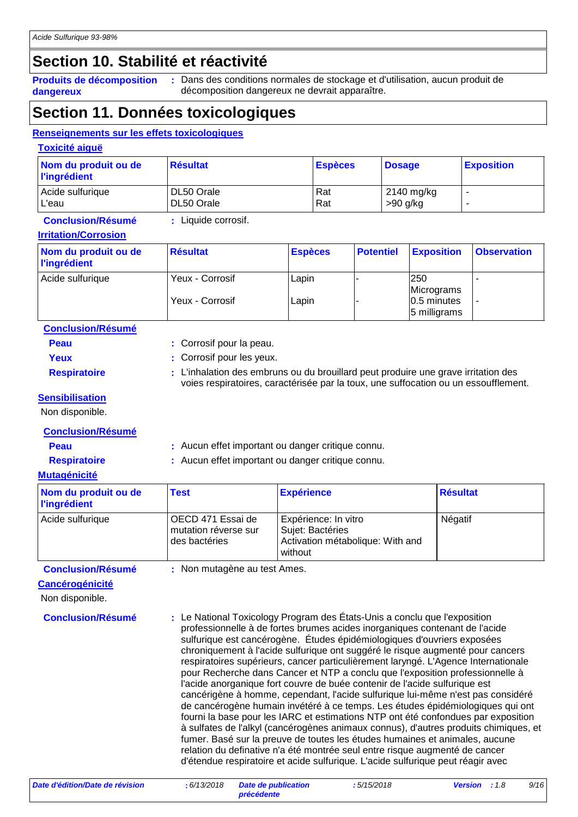### **Section 10. Stabilité et réactivité**

**Produits de décomposition dangereux**

Dans des conditions normales de stockage et d'utilisation, aucun produit de **:** décomposition dangereux ne devrait apparaître.

### **Section 11. Données toxicologiques**

#### **Renseignements sur les effets toxicologiques**

**Toxicité aiguë**

| Nom du produit ou de<br><b>l'ingrédient</b> | ∣Résultat  | <b>Espèces</b> | <b>Dosage</b> | <b>Exposition</b>        |
|---------------------------------------------|------------|----------------|---------------|--------------------------|
| Acide sulfurique                            | DL50 Orale | Rat            | 2140 mg/kg    |                          |
| L'eau                                       | DL50 Orale | Rat            | $>90$ g/kg    | $\overline{\phantom{a}}$ |

#### **Conclusion/Résumé :** Liquide corrosif.

### **Irritation/Corrosion**

| Nom du produit ou de<br><b>l'ingrédient</b> | <b>Résultat</b> | <b>Espèces</b> | <b>Potentiel</b> | <b>Exposition</b>              | <b>Observation</b> |
|---------------------------------------------|-----------------|----------------|------------------|--------------------------------|--------------------|
| Acide sulfurique                            | Yeux - Corrosif | Lapin          |                  | 250<br>Micrograms              |                    |
|                                             | Yeux - Corrosif | Lapin          |                  | $ 0.5$ minutes<br>5 milligrams | ٠                  |

| <b>Conclusion/Résumé</b> |                                                                                                                                                                           |
|--------------------------|---------------------------------------------------------------------------------------------------------------------------------------------------------------------------|
| <b>Peau</b>              | : Corrosif pour la peau.                                                                                                                                                  |
| Yeux                     | : Corrosif pour les yeux.                                                                                                                                                 |
| <b>Respiratoire</b>      | : L'inhalation des embruns ou du brouillard peut produire une grave irritation des<br>voies respiratoires, caractérisée par la toux, une suffocation ou un essoufflement. |

#### **Sensibilisation**

Non disponible.

#### **Conclusion/Résumé**

**Peau** : Aucun effet important ou danger critique connu.

#### **Respiratoire :** Aucun effet important ou danger critique connu.

**Mutagénicité**

| Nom du produit ou de<br><b>l'ingrédient</b> | <b>Test</b>                                                | <b>Expérience</b>                                                                       | <b>Résultat</b> |
|---------------------------------------------|------------------------------------------------------------|-----------------------------------------------------------------------------------------|-----------------|
| Acide sulfurique                            | OECD 471 Essai de<br>mutation réverse sur<br>des bactéries | Expérience: In vitro<br>Sujet: Bactéries<br>Activation métabolique: With and<br>without | Négatif         |

**Conclusion/Résumé :** Non mutagène au test Ames.

#### **Cancérogénicité**

Non disponible.

**Conclusion/Résumé :** Le National Toxicology Program des États-Unis a conclu que l'exposition professionnelle à de fortes brumes acides inorganiques contenant de l'acide sulfurique est cancérogène. Études épidémiologiques d'ouvriers exposées chroniquement à l'acide sulfurique ont suggéré le risque augmenté pour cancers respiratoires supérieurs, cancer particulièrement laryngé. L'Agence Internationale pour Recherche dans Cancer et NTP a conclu que l'exposition professionnelle à l'acide anorganique fort couvre de buée contenir de l'acide sulfurique est cancérigène à homme, cependant, l'acide sulfurique lui-même n'est pas considéré de cancérogène humain invétéré à ce temps. Les études épidémiologiques qui ont fourni la base pour les IARC et estimations NTP ont été confondues par exposition à sulfates de l'alkyl (cancérogènes animaux connus), d'autres produits chimiques, et fumer. Basé sur la preuve de toutes les études humaines et animales, aucune relation du definative n'a été montrée seul entre risque augmenté de cancer d'étendue respiratoire et acide sulfurique. L'acide sulfurique peut réagir avec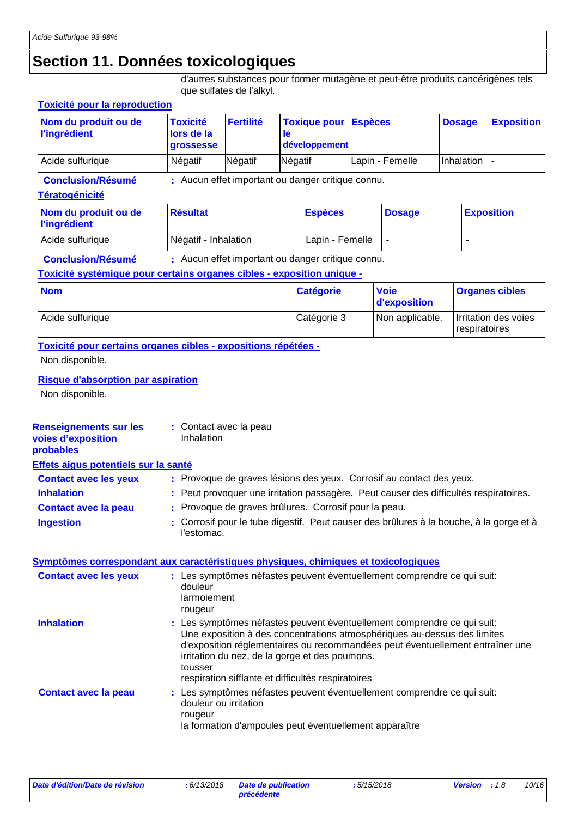### **Section 11. Données toxicologiques**

d'autres substances pour former mutagène et peut-être produits cancérigènes tels que sulfates de l'alkyl.

#### **Tératogénicité** Acide sulfurique  $\bigcap_{n=1}^{\infty}$  Négatif - Inhalation  $\bigcup_{n=1}^{\infty}$  Lapin - Femelle  $\bigcap_{n=1}^{\infty}$  -**Nom du produit ou de l'ingrédient Résultat Espèces Dosage Exposition Conclusion/Résumé :** Aucun effet important ou danger critique connu. **Toxicité pour la reproduction Nom du produit ou de l'ingrédient Toxicité lors de la grossesse Fertilité Toxique pour le développement Espèces Conclusion/Résumé :** Aucun effet important ou danger critique connu. **Dosage Exposition** Acide sulfurique | Négatif | Négatif | Négatif | Négatif | Lapin - Femelle | Inhalation **Renseignements sur les voies d'exposition probables Inhalation :** Peut provoquer une irritation passagère. Peut causer des difficultés respiratoires. Corrosif pour le tube digestif. Peut causer des brûlures à la bouche, à la gorge et à l'estomac. **Ingestion : Contact avec la peau :** Provoque de graves brûlures. Corrosif pour la peau. **Contact avec les yeux :** Provoque de graves lésions des yeux. Corrosif au contact des yeux. **Symptômes correspondant aux caractéristiques physiques, chimiques et toxicologiques Contact avec la peau Inhalation Les symptômes néfastes peuvent éventuellement comprendre ce qui suit: Inhalation** Une exposition à des concentrations atmosphériques au-dessus des limites d'exposition réglementaires ou recommandées peut éventuellement entraîner une irritation du nez, de la gorge et des poumons. tousser respiration sifflante et difficultés respiratoires Les symptômes néfastes peuvent éventuellement comprendre ce qui suit: **:** douleur ou irritation rougeur la formation d'ampoules peut éventuellement apparaître **Contact avec les yeux :** Les symptômes néfastes peuvent éventuellement comprendre ce qui suit: douleur larmoiement rougeur **Toxicité systémique pour certains organes cibles - exposition unique - Toxicité pour certains organes cibles - expositions répétées -** Acide sulfurique  $\Box$  Catégorie 3 Non applicable. Irritation des voies respiratoires **Nom Catégorie** Non disponible. **Risque d'absorption par aspiration** Non disponible. **Voie d'exposition Organes cibles :** Contact avec la peau Inhalation **Effets aigus potentiels sur la santé**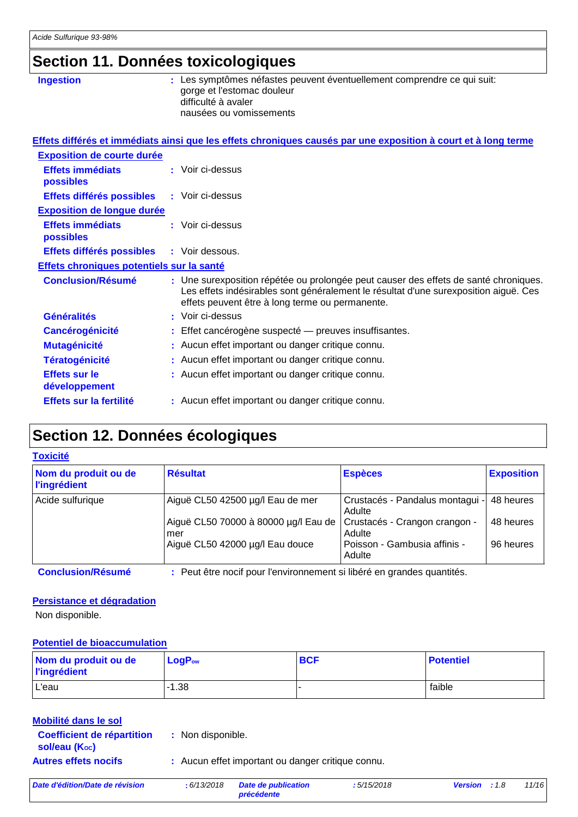### **Section 11. Données toxicologiques**

| <b>Ingestion</b>                          | : Les symptômes néfastes peuvent éventuellement comprendre ce qui suit:<br>gorge et l'estomac douleur<br>difficulté à avaler<br>nausées ou vomissements                                                                         |
|-------------------------------------------|---------------------------------------------------------------------------------------------------------------------------------------------------------------------------------------------------------------------------------|
|                                           | Effets différés et immédiats ainsi que les effets chroniques causés par une exposition à court et à long terme                                                                                                                  |
| <b>Exposition de courte durée</b>         |                                                                                                                                                                                                                                 |
| <b>Effets immédiats</b><br>possibles      | : Voir ci-dessus                                                                                                                                                                                                                |
| Effets différés possibles                 | : Voir ci-dessus                                                                                                                                                                                                                |
| <b>Exposition de longue durée</b>         |                                                                                                                                                                                                                                 |
| <b>Effets immédiats</b><br>possibles      | : Voir ci-dessus                                                                                                                                                                                                                |
| Effets différés possibles                 | : Voir dessous.                                                                                                                                                                                                                 |
| Effets chroniques potentiels sur la santé |                                                                                                                                                                                                                                 |
| <b>Conclusion/Résumé</b>                  | : Une surexposition répétée ou prolongée peut causer des effets de santé chroniques.<br>Les effets indésirables sont généralement le résultat d'une surexposition aiguë. Ces<br>effets peuvent être à long terme ou permanente. |
| <b>Généralités</b>                        | : Voir ci-dessus                                                                                                                                                                                                                |
| <b>Cancérogénicité</b>                    | Effet cancérogène suspecté - preuves insuffisantes.                                                                                                                                                                             |
| <b>Mutagénicité</b>                       | Aucun effet important ou danger critique connu.                                                                                                                                                                                 |
| <b>Tératogénicité</b>                     | Aucun effet important ou danger critique connu.                                                                                                                                                                                 |
| <b>Effets sur le</b><br>développement     | Aucun effet important ou danger critique connu.                                                                                                                                                                                 |
| Effets sur la fertilité                   | : Aucun effet important ou danger critique connu.                                                                                                                                                                               |
|                                           |                                                                                                                                                                                                                                 |

### **Section 12. Données écologiques**

#### **Toxicité**

| Nom du produit ou de<br><b>l'ingrédient</b> | <b>Résultat</b>                                                                                               | <b>Espèces</b>                            | <b>Exposition</b> |
|---------------------------------------------|---------------------------------------------------------------------------------------------------------------|-------------------------------------------|-------------------|
| Acide sulfurique                            | Aiguë CL50 42500 µg/l Eau de mer                                                                              | Crustacés - Pandalus montagui -<br>Adulte | 48 heures         |
|                                             | Aiguë CL50 70000 à 80000 µg/l Eau de   Crustacés - Crangon crangon -<br>mer                                   | Adulte                                    | 48 heures         |
|                                             | Aiguë CL50 42000 µg/l Eau douce                                                                               | Poisson - Gambusia affinis -<br>Adulte    | 96 heures         |
| $\sim$ $\sim$ $\sim$ $\sim$ $\sim$ $\sim$   | 【■ 2】 A A a construction of the construction of the Construction of the construction of the A construction of |                                           |                   |

**Conclusion/Résumé :** Peut être nocif pour l'environnement si libéré en grandes quantités.

#### **Persistance et dégradation**

Non disponible.

#### **Potentiel de bioaccumulation**

| Nom du produit ou de<br><b>l'ingrédient</b> | $LogP_{ow}$ | <b>BCF</b> | <b>Potentiel</b> |
|---------------------------------------------|-------------|------------|------------------|
| L'eau                                       | $-1.38$     |            | faible           |

| Mobilité dans le sol                               |                                                   |
|----------------------------------------------------|---------------------------------------------------|
| <b>Coefficient de répartition</b><br>sol/eau (Koc) | : Non disponible.                                 |
| <b>Autres effets nocifs</b>                        | : Aucun effet important ou danger critique connu. |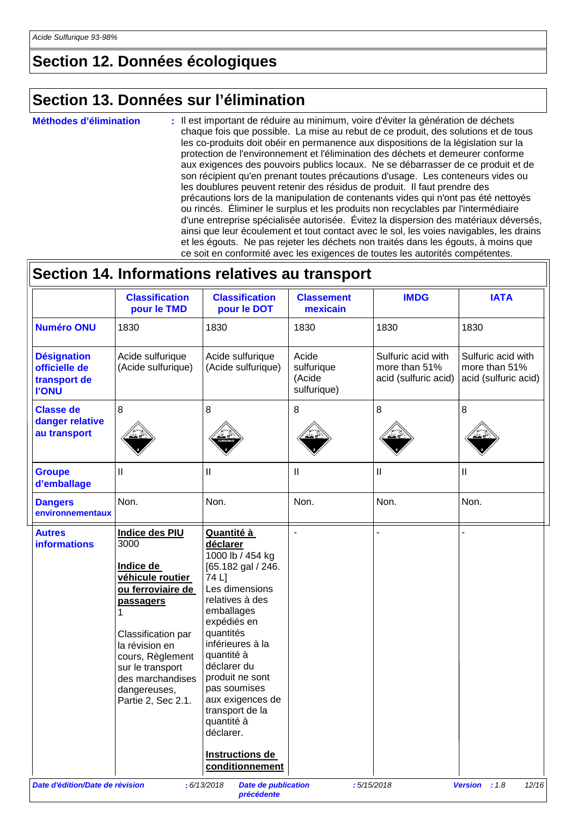### **Section 12. Données écologiques**

### **Section 13. Données sur l'élimination**

**Méthodes d'élimination :**

Б

: Il est important de réduire au minimum, voire d'éviter la génération de déchets chaque fois que possible. La mise au rebut de ce produit, des solutions et de tous les co-produits doit obéir en permanence aux dispositions de la législation sur la protection de l'environnement et l'élimination des déchets et demeurer conforme aux exigences des pouvoirs publics locaux. Ne se débarrasser de ce produit et de son récipient qu'en prenant toutes précautions d'usage. Les conteneurs vides ou les doublures peuvent retenir des résidus de produit. Il faut prendre des précautions lors de la manipulation de contenants vides qui n'ont pas été nettoyés ou rincés. Éliminer le surplus et les produits non recyclables par l'intermédiaire d'une entreprise spécialisée autorisée. Évitez la dispersion des matériaux déversés, ainsi que leur écoulement et tout contact avec le sol, les voies navigables, les drains et les égouts. Ne pas rejeter les déchets non traités dans les égouts, à moins que ce soit en conformité avec les exigences de toutes les autorités compétentes.

|                                                                     | <b>Classification</b><br>pour le TMD                                                                                                                                                                                                             | <b>Classification</b><br>pour le DOT                                                                                                                                                                                                                                                                                                                 | <b>Classement</b><br>mexicain                | <b>IMDG</b>                                                 | <b>IATA</b>                                                 |
|---------------------------------------------------------------------|--------------------------------------------------------------------------------------------------------------------------------------------------------------------------------------------------------------------------------------------------|------------------------------------------------------------------------------------------------------------------------------------------------------------------------------------------------------------------------------------------------------------------------------------------------------------------------------------------------------|----------------------------------------------|-------------------------------------------------------------|-------------------------------------------------------------|
| <b>Numéro ONU</b>                                                   | 1830                                                                                                                                                                                                                                             | 1830                                                                                                                                                                                                                                                                                                                                                 | 1830                                         | 1830                                                        | 1830                                                        |
| <b>Désignation</b><br>officielle de<br>transport de<br><b>I'ONU</b> | Acide sulfurique<br>(Acide sulfurique)                                                                                                                                                                                                           | Acide sulfurique<br>(Acide sulfurique)                                                                                                                                                                                                                                                                                                               | Acide<br>sulfurique<br>(Acide<br>sulfurique) | Sulfuric acid with<br>more than 51%<br>acid (sulfuric acid) | Sulfuric acid with<br>more than 51%<br>acid (sulfuric acid) |
| <b>Classe de</b><br>danger relative<br>au transport                 | 8                                                                                                                                                                                                                                                | 8                                                                                                                                                                                                                                                                                                                                                    | 8                                            | 8                                                           | 8                                                           |
| <b>Groupe</b><br>d'emballage                                        | $\mathbf{I}$                                                                                                                                                                                                                                     | $\mathbf{  }$                                                                                                                                                                                                                                                                                                                                        | $\mathbf{I}$                                 | Ш                                                           | $\mathbf{I}$                                                |
| <b>Dangers</b><br>environnementaux                                  | Non.                                                                                                                                                                                                                                             | Non.                                                                                                                                                                                                                                                                                                                                                 | Non.                                         | Non.                                                        | Non.                                                        |
| <b>Autres</b><br><b>informations</b>                                | <b>Indice des PIU</b><br>3000<br>Indice de<br>véhicule routier<br>ou ferroviaire de<br><b>passagers</b><br>Classification par<br>la révision en<br>cours, Règlement<br>sur le transport<br>des marchandises<br>dangereuses,<br>Partie 2, Sec 2.1 | Quantité à<br>déclarer<br>1000 lb / 454 kg<br>[65.182 gal / 246.<br>74 L]<br>Les dimensions<br>relatives à des<br>emballages<br>expédiés en<br>quantités<br>inférieures à la<br>quantité à<br>déclarer du<br>produit ne sont<br>pas soumises<br>aux exigences de<br>transport de la<br>quantité à<br>déclarer.<br>Instructions de<br>conditionnement | $\overline{a}$                               |                                                             |                                                             |

*Date d'édition/Date de révision* **:** *6/13/2018 Date de publication* 

*précédente*

 $\overline{\mathbf{r}}$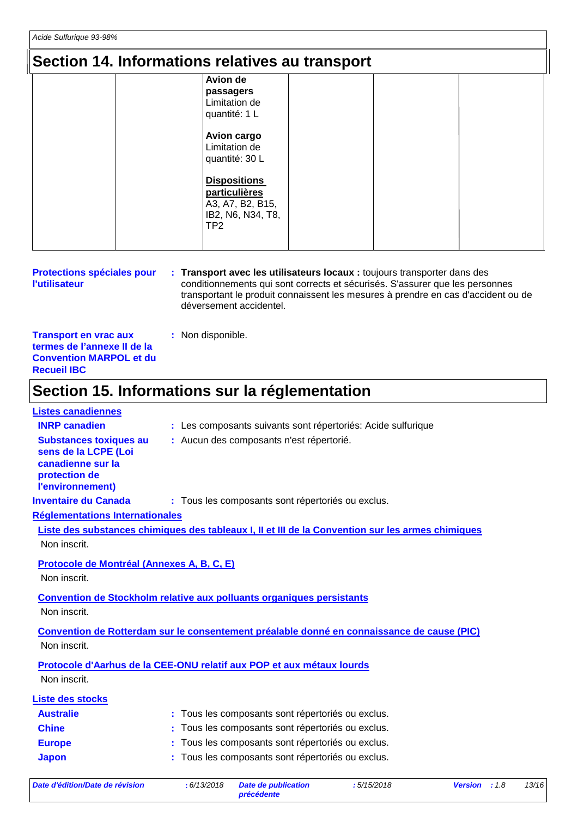### **Section 14. Informations relatives au transport**

| <b>Avion de</b>     |  |
|---------------------|--|
| passagers           |  |
| Limitation de       |  |
| quantité: 1 L       |  |
| <b>Avion cargo</b>  |  |
| Limitation de       |  |
| quantité: 30 L      |  |
|                     |  |
| <b>Dispositions</b> |  |
| particulières       |  |
| A3, A7, B2, B15,    |  |
| IB2, N6, N34, T8,   |  |
| TP <sub>2</sub>     |  |
|                     |  |

**Protections spéciales pour l'utilisateur Transport avec les utilisateurs locaux :** toujours transporter dans des **:** conditionnements qui sont corrects et sécurisés. S'assurer que les personnes transportant le produit connaissent les mesures à prendre en cas d'accident ou de déversement accidentel.

**Transport en vrac aux termes de l'annexe II de la Convention MARPOL et du Recueil IBC :** Non disponible.

### **Section 15. Informations sur la réglementation**

| <b>Listes canadiennes</b>                                                                                       |                                                                                                   |
|-----------------------------------------------------------------------------------------------------------------|---------------------------------------------------------------------------------------------------|
| <b>INRP canadien</b>                                                                                            | : Les composants suivants sont répertoriés: Acide sulfurique                                      |
| <b>Substances toxiques au</b><br>sens de la LCPE (Loi<br>canadienne sur la<br>protection de<br>l'environnement) | : Aucun des composants n'est répertorié.                                                          |
| <b>Inventaire du Canada</b>                                                                                     | : Tous les composants sont répertoriés ou exclus.                                                 |
| <b>Réglementations Internationales</b>                                                                          |                                                                                                   |
|                                                                                                                 | Liste des substances chimiques des tableaux I, II et III de la Convention sur les armes chimiques |
| Non inscrit.                                                                                                    |                                                                                                   |
| Protocole de Montréal (Annexes A, B, C, E)<br>Non inscrit.                                                      |                                                                                                   |
|                                                                                                                 | Convention de Stockholm relative aux polluants organiques persistants                             |
| Non inscrit.                                                                                                    |                                                                                                   |
| Non inscrit.                                                                                                    | Convention de Rotterdam sur le consentement préalable donné en connaissance de cause (PIC)        |
|                                                                                                                 |                                                                                                   |
|                                                                                                                 | Protocole d'Aarhus de la CEE-ONU relatif aux POP et aux métaux lourds                             |
| Non inscrit.                                                                                                    |                                                                                                   |
| <b>Liste des stocks</b>                                                                                         |                                                                                                   |
| <b>Australie</b>                                                                                                | Tous les composants sont répertoriés ou exclus.                                                   |
| <b>Chine</b>                                                                                                    | Tous les composants sont répertoriés ou exclus.                                                   |
| <b>Europe</b>                                                                                                   | Tous les composants sont répertoriés ou exclus.                                                   |
| <b>Japon</b>                                                                                                    | Tous les composants sont répertoriés ou exclus.                                                   |
|                                                                                                                 |                                                                                                   |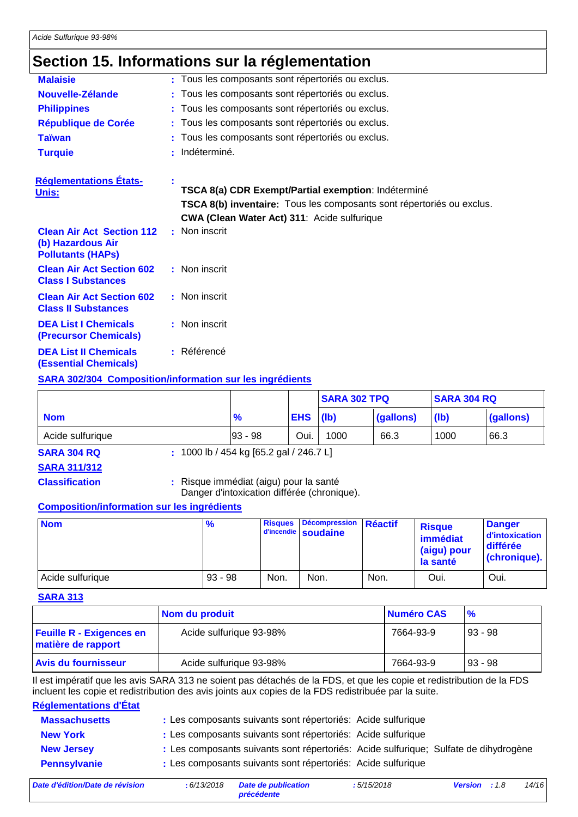### **Section 15. Informations sur la réglementation**

| <b>Malaisie</b>                                                                   |    | : Tous les composants sont répertoriés ou exclus.                                                                                                                           |
|-----------------------------------------------------------------------------------|----|-----------------------------------------------------------------------------------------------------------------------------------------------------------------------------|
| Nouvelle-Zélande                                                                  |    | : Tous les composants sont répertoriés ou exclus.                                                                                                                           |
| <b>Philippines</b>                                                                |    | : Tous les composants sont répertoriés ou exclus.                                                                                                                           |
| <b>République de Corée</b>                                                        |    | : Tous les composants sont répertoriés ou exclus.                                                                                                                           |
| <b>Taïwan</b>                                                                     |    | : Tous les composants sont répertoriés ou exclus.                                                                                                                           |
| <b>Turquie</b>                                                                    |    | : Indéterminé.                                                                                                                                                              |
| <b>Réglementations États-</b>                                                     |    |                                                                                                                                                                             |
| Unis:                                                                             |    | TSCA 8(a) CDR Exempt/Partial exemption: Indéterminé<br>TSCA 8(b) inventaire: Tous les composants sont répertoriés ou exclus.<br>CWA (Clean Water Act) 311: Acide sulfurique |
| <b>Clean Air Act Section 112</b><br>(b) Hazardous Air<br><b>Pollutants (HAPS)</b> |    | : Non inscrit                                                                                                                                                               |
| <b>Clean Air Act Section 602</b><br><b>Class I Substances</b>                     |    | : Non inscrit                                                                                                                                                               |
| <b>Clean Air Act Section 602</b><br><b>Class II Substances</b>                    |    | : Non inscrit                                                                                                                                                               |
| <b>DEA List I Chemicals</b><br><b>(Precursor Chemicals)</b>                       |    | : Non inscrit                                                                                                                                                               |
| <b>DEA List II Chemicals</b><br><b>(Essential Chemicals)</b>                      | ÷. | Référencé                                                                                                                                                                   |
|                                                                                   |    |                                                                                                                                                                             |

#### **SARA 302/304 Composition/information sur les ingrédients**

|                  |               |            | <b>SARA 302 TPQ</b> |           | <b>SARA 304 RQ</b> |           |
|------------------|---------------|------------|---------------------|-----------|--------------------|-----------|
| <b>Nom</b>       | $\frac{9}{6}$ | <b>EHS</b> | ( b )               | (gallons) | ( b )              | (gallons) |
| Acide sulfurique | $ 93 - 98 $   | Oui.       | 1000                | 66.3      | 1000               | 66.3      |

**SARA 304 RQ :** 1000 lb / 454 kg [65.2 gal / 246.7 L]

**SARA 311/312**

**Classification :** Risque immédiat (aigu) pour la santé

Danger d'intoxication différée (chronique).

#### **Composition/information sur les ingrédients**

| <b>Nom</b>       | $\frac{9}{6}$ | <b>Risques</b> | Décompression Réactif<br>d'incendie soudaine |      | <b>Risque</b><br>immédiat<br>(aigu) pour<br>la santé | <b>Danger</b><br>d'intoxication<br>différée<br>(chronique). |
|------------------|---------------|----------------|----------------------------------------------|------|------------------------------------------------------|-------------------------------------------------------------|
| Acide sulfurique | $93 - 98$     | Non.           | Non.                                         | Non. | Oui.                                                 | Oui.                                                        |

#### **SARA 313**

|                                                       | Nom du produit          | Numéro CAS | $\frac{9}{6}$ |
|-------------------------------------------------------|-------------------------|------------|---------------|
| <b>Feuille R - Exigences en</b><br>matière de rapport | Acide sulfurique 93-98% | 7664-93-9  | $ 93 - 98$    |
| <b>Avis du fournisseur</b>                            | Acide sulfurique 93-98% | 7664-93-9  | $ 93 - 98$    |

Il est impératif que les avis SARA 313 ne soient pas détachés de la FDS, et que les copie et redistribution de la FDS incluent les copie et redistribution des avis joints aux copies de la FDS redistribuée par la suite.

#### **Réglementations d'État**

| <b>Massachusetts</b> | : Les composants suivants sont répertoriés: Acide sulfurique                         |
|----------------------|--------------------------------------------------------------------------------------|
| <b>New York</b>      | : Les composants suivants sont répertoriés: Acide sulfurique                         |
| <b>New Jersey</b>    | : Les composants suivants sont répertoriés: Acide sulfurique; Sulfate de dihydrogène |
| <b>Pennsylvanie</b>  | : Les composants suivants sont répertoriés: Acide sulfurique                         |
|                      |                                                                                      |

*Date d'édition/Date de révision* **:** *6/13/2018 Date de publication*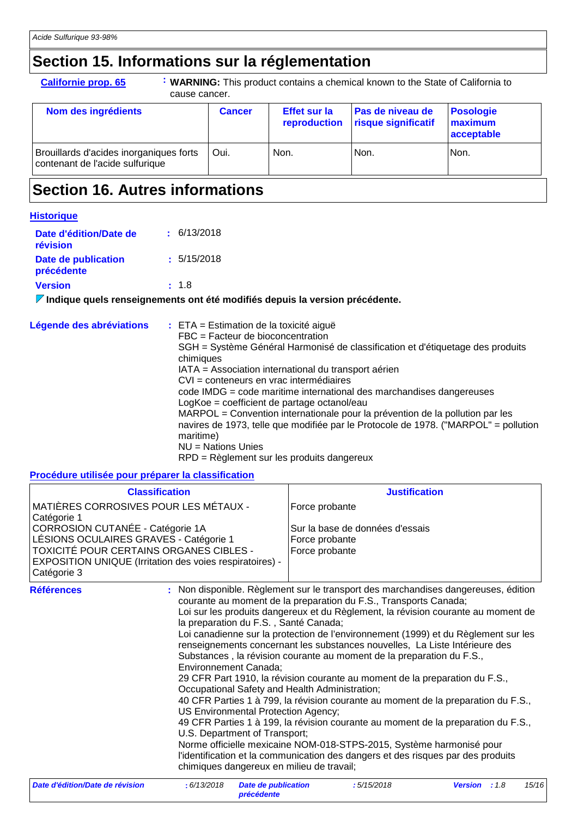## **Section 15. Informations sur la réglementation**

| : WARNING: This product contains a chemical known to the State of California to<br><b>Californie prop. 65</b><br>cause cancer. |               |                                     |                                                |                                           |
|--------------------------------------------------------------------------------------------------------------------------------|---------------|-------------------------------------|------------------------------------------------|-------------------------------------------|
| Nom des ingrédients                                                                                                            | <b>Cancer</b> | <b>Effet sur la</b><br>reproduction | <b>Pas de niveau de</b><br>risque significatif | <b>Posologie</b><br>maximum<br>acceptable |
| Brouillards d'acides inorganiques forts<br>contenant de l'acide sulfurique                                                     | Oui.          | Non.                                | Non.                                           | Non.                                      |

### **Section 16. Autres informations**

#### **Historique**

| Date d'édition/Date de<br>révision | $\pm$ 6/13/2018                                                                   |
|------------------------------------|-----------------------------------------------------------------------------------|
| Date de publication<br>précédente  | : 5/15/2018                                                                       |
| <b>Version</b>                     | : 1.8                                                                             |
|                                    | $\mathcal I$ Indiaus quale repeatanemente ant été modifiée depuis la version préc |

#### **Indique quels renseignements ont été modifiés depuis la version précédente.**

| Légende des abréviations | $\div$ ETA = Estimation de la toxicité aiguë                                                     |
|--------------------------|--------------------------------------------------------------------------------------------------|
|                          | FBC = Facteur de bioconcentration                                                                |
|                          | SGH = Système Général Harmonisé de classification et d'étiquetage des produits<br>chimiques      |
|                          | IATA = Association international du transport aérien                                             |
|                          | CVI = conteneurs en vrac intermédiaires                                                          |
|                          | code IMDG = code maritime international des marchandises dangereuses                             |
|                          | LogKoe = coefficient de partage octanol/eau                                                      |
|                          | MARPOL = Convention internationale pour la prévention de la pollution par les                    |
|                          | navires de 1973, telle que modifiée par le Protocole de 1978. ("MARPOL" = pollution<br>maritime) |
|                          | $NU = Nations$ Unies                                                                             |
|                          | RPD = Règlement sur les produits dangereux                                                       |

**Procédure utilisée pour préparer la classification**

| <b>Classification</b>                                                                                                                                                                                                                                           |                                                                                                                                                                                                                                                    | <b>Justification</b>                                                                                                                                                                                                                                                                                                                                                                                                                                                                                                                                                                                                                                                                                                                                                                                                                                                                                         |                        |  |
|-----------------------------------------------------------------------------------------------------------------------------------------------------------------------------------------------------------------------------------------------------------------|----------------------------------------------------------------------------------------------------------------------------------------------------------------------------------------------------------------------------------------------------|--------------------------------------------------------------------------------------------------------------------------------------------------------------------------------------------------------------------------------------------------------------------------------------------------------------------------------------------------------------------------------------------------------------------------------------------------------------------------------------------------------------------------------------------------------------------------------------------------------------------------------------------------------------------------------------------------------------------------------------------------------------------------------------------------------------------------------------------------------------------------------------------------------------|------------------------|--|
| MATIÈRES CORROSIVES POUR LES MÉTAUX -<br>Catégorie 1<br>CORROSION CUTANÉE - Catégorie 1A<br>LÉSIONS OCULAIRES GRAVES - Catégorie 1<br><b>TOXICITÉ POUR CERTAINS ORGANES CIBLES -</b><br>EXPOSITION UNIQUE (Irritation des voies respiratoires) -<br>Catégorie 3 |                                                                                                                                                                                                                                                    | Force probante<br>Sur la base de données d'essais<br>Force probante<br>Force probante                                                                                                                                                                                                                                                                                                                                                                                                                                                                                                                                                                                                                                                                                                                                                                                                                        |                        |  |
| <b>Références</b>                                                                                                                                                                                                                                               | ÷.<br>la preparation du F.S., Santé Canada;<br><b>Environnement Canada;</b><br>Occupational Safety and Health Administration;<br>US Environmental Protection Agency;<br>U.S. Department of Transport;<br>chimiques dangereux en milieu de travail; | Non disponible. Règlement sur le transport des marchandises dangereuses, édition<br>courante au moment de la preparation du F.S., Transports Canada;<br>Loi sur les produits dangereux et du Règlement, la révision courante au moment de<br>Loi canadienne sur la protection de l'environnement (1999) et du Règlement sur les<br>renseignements concernant les substances nouvelles, La Liste Intérieure des<br>Substances, la révision courante au moment de la preparation du F.S.,<br>29 CFR Part 1910, la révision courante au moment de la preparation du F.S.,<br>40 CFR Parties 1 à 799, la révision courante au moment de la preparation du F.S.,<br>49 CFR Parties 1 à 199, la révision courante au moment de la preparation du F.S.,<br>Norme officielle mexicaine NOM-018-STPS-2015, Système harmonisé pour<br>l'identification et la communication des dangers et des risques par des produits |                        |  |
| Date d'édition/Date de révision                                                                                                                                                                                                                                 | : 6/13/2018<br><b>Date de publication</b>                                                                                                                                                                                                          | :5/15/2018                                                                                                                                                                                                                                                                                                                                                                                                                                                                                                                                                                                                                                                                                                                                                                                                                                                                                                   | 15/10<br>Version : 1.8 |  |

*précédente*